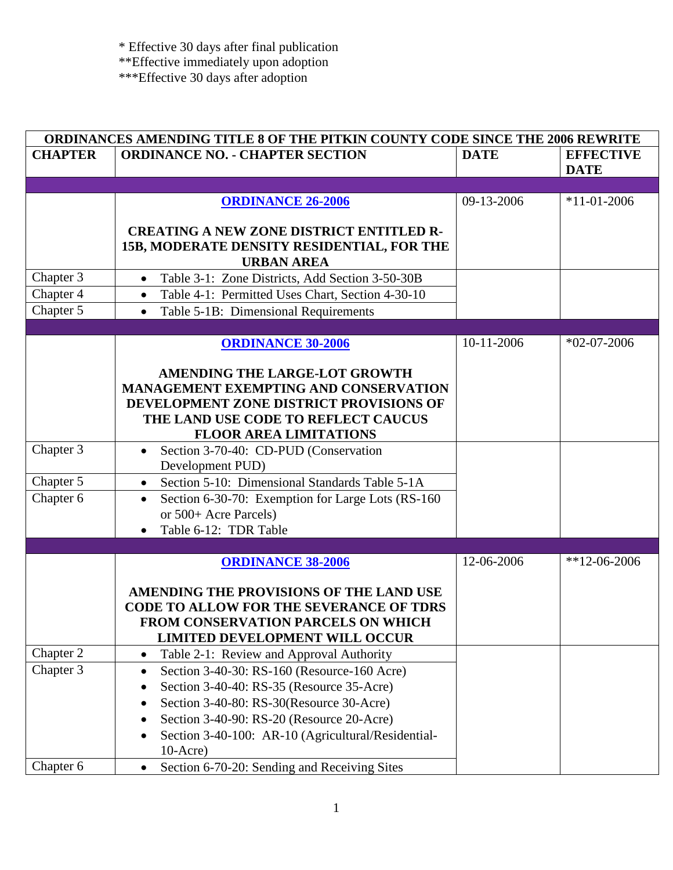| ORDINANCES AMENDING TITLE 8 OF THE PITKIN COUNTY CODE SINCE THE 2006 REWRITE |                                                                                                                    |             |                                 |
|------------------------------------------------------------------------------|--------------------------------------------------------------------------------------------------------------------|-------------|---------------------------------|
| <b>CHAPTER</b>                                                               | <b>ORDINANCE NO. - CHAPTER SECTION</b>                                                                             | <b>DATE</b> | <b>EFFECTIVE</b><br><b>DATE</b> |
|                                                                              |                                                                                                                    |             |                                 |
|                                                                              | <b>ORDINANCE 26-2006</b>                                                                                           | 09-13-2006  | $*11 - 01 - 2006$               |
|                                                                              |                                                                                                                    |             |                                 |
|                                                                              | <b>CREATING A NEW ZONE DISTRICT ENTITLED R-</b><br>15B, MODERATE DENSITY RESIDENTIAL, FOR THE<br><b>URBAN AREA</b> |             |                                 |
| Chapter 3                                                                    | Table 3-1: Zone Districts, Add Section 3-50-30B<br>$\bullet$                                                       |             |                                 |
| Chapter 4                                                                    | Table 4-1: Permitted Uses Chart, Section 4-30-10<br>$\bullet$                                                      |             |                                 |
| Chapter 5                                                                    | Table 5-1B: Dimensional Requirements<br>$\bullet$                                                                  |             |                                 |
|                                                                              |                                                                                                                    |             |                                 |
|                                                                              | <b>ORDINANCE 30-2006</b>                                                                                           | 10-11-2006  | $*02-07-2006$                   |
|                                                                              |                                                                                                                    |             |                                 |
|                                                                              | <b>AMENDING THE LARGE-LOT GROWTH</b>                                                                               |             |                                 |
|                                                                              | MANAGEMENT EXEMPTING AND CONSERVATION                                                                              |             |                                 |
|                                                                              | DEVELOPMENT ZONE DISTRICT PROVISIONS OF                                                                            |             |                                 |
|                                                                              | THE LAND USE CODE TO REFLECT CAUCUS                                                                                |             |                                 |
|                                                                              | <b>FLOOR AREA LIMITATIONS</b>                                                                                      |             |                                 |
| Chapter 3                                                                    | Section 3-70-40: CD-PUD (Conservation<br>Development PUD)                                                          |             |                                 |
| Chapter 5                                                                    | Section 5-10: Dimensional Standards Table 5-1A<br>$\bullet$                                                        |             |                                 |
| Chapter 6                                                                    |                                                                                                                    |             |                                 |
|                                                                              | Section 6-30-70: Exemption for Large Lots (RS-160)<br>$\bullet$<br>or 500+ Acre Parcels)                           |             |                                 |
|                                                                              | Table 6-12: TDR Table                                                                                              |             |                                 |
|                                                                              |                                                                                                                    |             |                                 |
|                                                                              | <b>ORDINANCE 38-2006</b>                                                                                           | 12-06-2006  | $*12-06-2006$                   |
|                                                                              |                                                                                                                    |             |                                 |
|                                                                              | AMENDING THE PROVISIONS OF THE LAND USE                                                                            |             |                                 |
|                                                                              | <b>CODE TO ALLOW FOR THE SEVERANCE OF TDRS</b>                                                                     |             |                                 |
|                                                                              | FROM CONSERVATION PARCELS ON WHICH                                                                                 |             |                                 |
|                                                                              | <b>LIMITED DEVELOPMENT WILL OCCUR</b>                                                                              |             |                                 |
| Chapter 2                                                                    | Table 2-1: Review and Approval Authority<br>$\bullet$                                                              |             |                                 |
| Chapter 3                                                                    | Section 3-40-30: RS-160 (Resource-160 Acre)<br>$\bullet$                                                           |             |                                 |
|                                                                              | Section 3-40-40: RS-35 (Resource 35-Acre)                                                                          |             |                                 |
|                                                                              | Section 3-40-80: RS-30(Resource 30-Acre)                                                                           |             |                                 |
|                                                                              | Section 3-40-90: RS-20 (Resource 20-Acre)                                                                          |             |                                 |
|                                                                              | Section 3-40-100: AR-10 (Agricultural/Residential-                                                                 |             |                                 |
|                                                                              | $10-Acre)$                                                                                                         |             |                                 |
| Chapter 6                                                                    | Section 6-70-20: Sending and Receiving Sites<br>$\bullet$                                                          |             |                                 |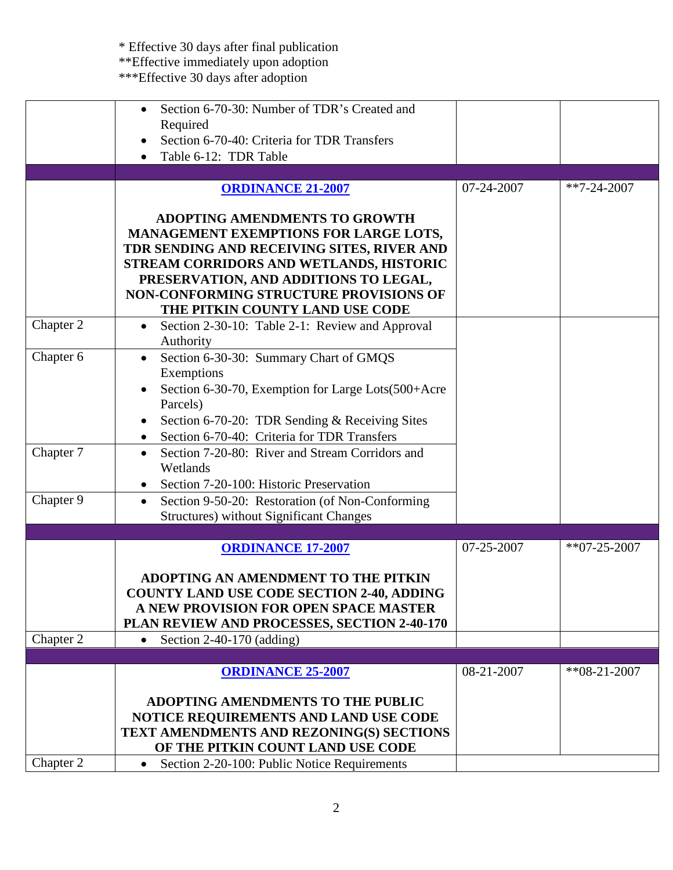|           | Section 6-70-30: Number of TDR's Created and<br>Required<br>Section 6-70-40: Criteria for TDR Transfers<br>Table 6-12: TDR Table                                                                                                                          |            |                  |
|-----------|-----------------------------------------------------------------------------------------------------------------------------------------------------------------------------------------------------------------------------------------------------------|------------|------------------|
|           |                                                                                                                                                                                                                                                           |            |                  |
|           | <b>ORDINANCE 21-2007</b>                                                                                                                                                                                                                                  | 07-24-2007 | $*7 - 24 - 2007$ |
|           | <b>ADOPTING AMENDMENTS TO GROWTH</b><br>MANAGEMENT EXEMPTIONS FOR LARGE LOTS,<br>TDR SENDING AND RECEIVING SITES, RIVER AND<br>STREAM CORRIDORS AND WETLANDS, HISTORIC<br>PRESERVATION, AND ADDITIONS TO LEGAL,<br>NON-CONFORMING STRUCTURE PROVISIONS OF |            |                  |
|           | THE PITKIN COUNTY LAND USE CODE                                                                                                                                                                                                                           |            |                  |
| Chapter 2 | Section 2-30-10: Table 2-1: Review and Approval<br>$\bullet$<br>Authority                                                                                                                                                                                 |            |                  |
| Chapter 6 | Section 6-30-30: Summary Chart of GMQS<br>$\bullet$<br>Exemptions<br>Section 6-30-70, Exemption for Large Lots(500+Acre<br>Parcels)<br>Section 6-70-20: TDR Sending & Receiving Sites<br>Section 6-70-40: Criteria for TDR Transfers                      |            |                  |
| Chapter 7 | Section 7-20-80: River and Stream Corridors and<br>$\bullet$<br>Wetlands<br>Section 7-20-100: Historic Preservation                                                                                                                                       |            |                  |
| Chapter 9 | Section 9-50-20: Restoration (of Non-Conforming<br>$\bullet$<br><b>Structures</b> ) without Significant Changes                                                                                                                                           |            |                  |
|           |                                                                                                                                                                                                                                                           |            |                  |
| Chapter 2 | <b>ORDINANCE 17-2007</b><br>ADOPTING AN AMENDMENT TO THE PITKIN<br><b>COUNTY LAND USE CODE SECTION 2-40, ADDING</b><br>A NEW PROVISION FOR OPEN SPACE MASTER<br>PLAN REVIEW AND PROCESSES, SECTION 2-40-170<br>Section $2-40-170$ (adding)                | 07-25-2007 | $*$ *07-25-2007  |
|           | $\bullet$                                                                                                                                                                                                                                                 |            |                  |
|           | <b>ORDINANCE 25-2007</b><br>ADOPTING AMENDMENTS TO THE PUBLIC                                                                                                                                                                                             | 08-21-2007 | $*808-21-2007$   |
|           | NOTICE REQUIREMENTS AND LAND USE CODE<br>TEXT AMENDMENTS AND REZONING(S) SECTIONS<br>OF THE PITKIN COUNT LAND USE CODE                                                                                                                                    |            |                  |
| Chapter 2 | Section 2-20-100: Public Notice Requirements<br>$\bullet$                                                                                                                                                                                                 |            |                  |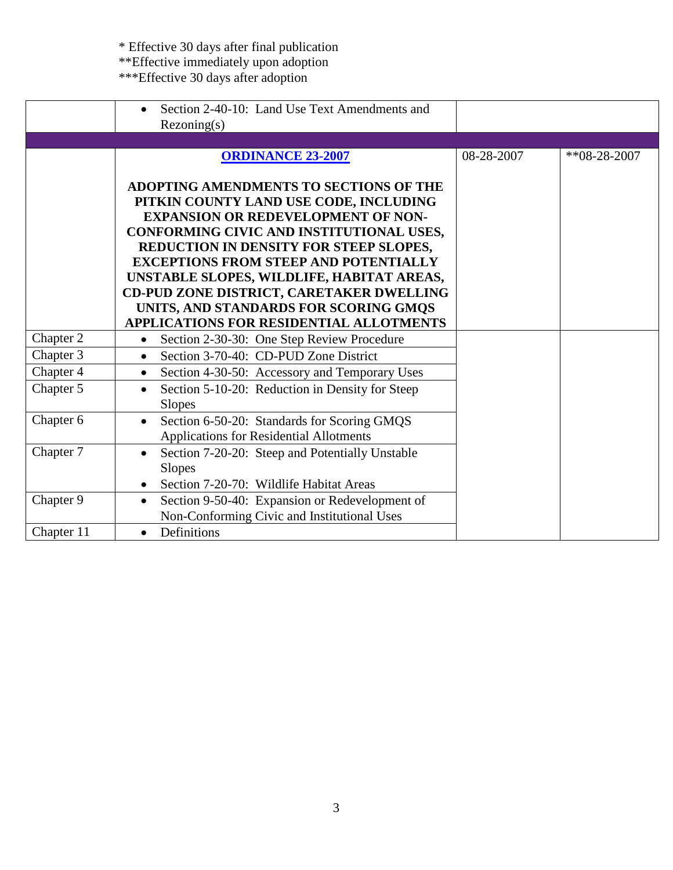|            | Section 2-40-10: Land Use Text Amendments and<br>Rezoning(s)                                                                                                                                                                                                                                                                                                                                                                                     |            |                  |
|------------|--------------------------------------------------------------------------------------------------------------------------------------------------------------------------------------------------------------------------------------------------------------------------------------------------------------------------------------------------------------------------------------------------------------------------------------------------|------------|------------------|
|            | <b>ORDINANCE 23-2007</b>                                                                                                                                                                                                                                                                                                                                                                                                                         | 08-28-2007 | $*8 - 28 - 2007$ |
|            | ADOPTING AMENDMENTS TO SECTIONS OF THE<br>PITKIN COUNTY LAND USE CODE, INCLUDING<br><b>EXPANSION OR REDEVELOPMENT OF NON-</b><br>CONFORMING CIVIC AND INSTITUTIONAL USES,<br>REDUCTION IN DENSITY FOR STEEP SLOPES,<br><b>EXCEPTIONS FROM STEEP AND POTENTIALLY</b><br>UNSTABLE SLOPES, WILDLIFE, HABITAT AREAS,<br>CD-PUD ZONE DISTRICT, CARETAKER DWELLING<br>UNITS, AND STANDARDS FOR SCORING GMQS<br>APPLICATIONS FOR RESIDENTIAL ALLOTMENTS |            |                  |
| Chapter 2  | Section 2-30-30: One Step Review Procedure<br>$\bullet$                                                                                                                                                                                                                                                                                                                                                                                          |            |                  |
| Chapter 3  | Section 3-70-40: CD-PUD Zone District<br>$\bullet$                                                                                                                                                                                                                                                                                                                                                                                               |            |                  |
| Chapter 4  | Section 4-30-50: Accessory and Temporary Uses<br>$\bullet$                                                                                                                                                                                                                                                                                                                                                                                       |            |                  |
| Chapter 5  | Section 5-10-20: Reduction in Density for Steep<br>$\bullet$<br><b>Slopes</b>                                                                                                                                                                                                                                                                                                                                                                    |            |                  |
| Chapter 6  | Section 6-50-20: Standards for Scoring GMQS<br>$\bullet$<br><b>Applications for Residential Allotments</b>                                                                                                                                                                                                                                                                                                                                       |            |                  |
| Chapter 7  | Section 7-20-20: Steep and Potentially Unstable<br><b>Slopes</b><br>Section 7-20-70: Wildlife Habitat Areas                                                                                                                                                                                                                                                                                                                                      |            |                  |
| Chapter 9  | Section 9-50-40: Expansion or Redevelopment of<br>$\bullet$                                                                                                                                                                                                                                                                                                                                                                                      |            |                  |
|            | Non-Conforming Civic and Institutional Uses                                                                                                                                                                                                                                                                                                                                                                                                      |            |                  |
| Chapter 11 | Definitions<br>$\bullet$                                                                                                                                                                                                                                                                                                                                                                                                                         |            |                  |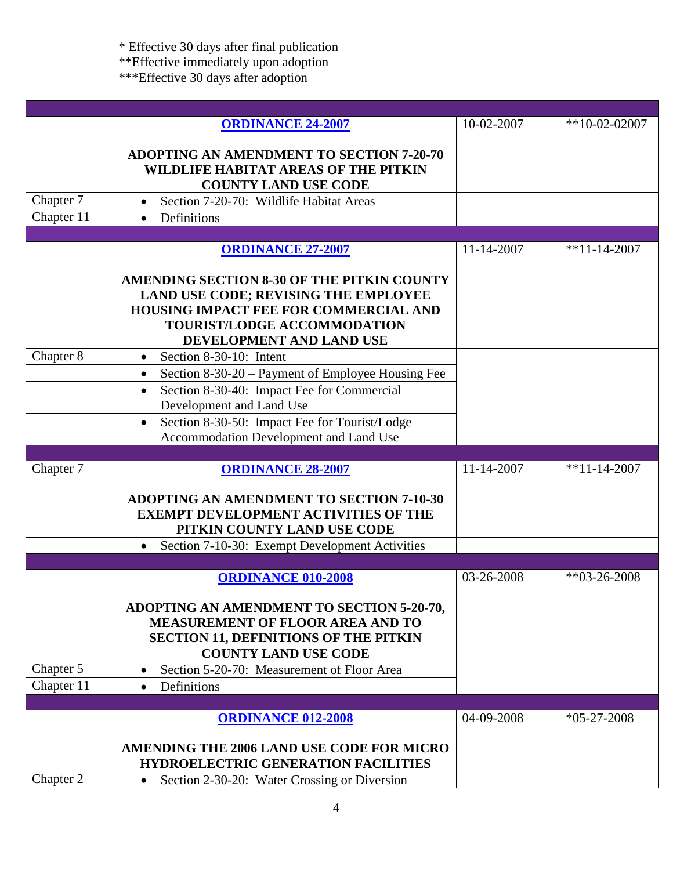\* Effective 30 days after final publication

\*\*Effective immediately upon adoption

|            | <b>ORDINANCE 24-2007</b>                                                                                                                                                                                                                                      | 10-02-2007 | $*10-02-02007$  |
|------------|---------------------------------------------------------------------------------------------------------------------------------------------------------------------------------------------------------------------------------------------------------------|------------|-----------------|
| Chapter 7  | <b>ADOPTING AN AMENDMENT TO SECTION 7-20-70</b><br>WILDLIFE HABITAT AREAS OF THE PITKIN<br><b>COUNTY LAND USE CODE</b><br>Section 7-20-70: Wildlife Habitat Areas                                                                                             |            |                 |
| Chapter 11 | Definitions<br>$\bullet$                                                                                                                                                                                                                                      |            |                 |
|            |                                                                                                                                                                                                                                                               |            |                 |
|            | <b>ORDINANCE 27-2007</b>                                                                                                                                                                                                                                      | 11-14-2007 | $*11-14-2007$   |
|            | AMENDING SECTION 8-30 OF THE PITKIN COUNTY<br>LAND USE CODE; REVISING THE EMPLOYEE<br><b>HOUSING IMPACT FEE FOR COMMERCIAL AND</b><br><b>TOURIST/LODGE ACCOMMODATION</b><br>DEVELOPMENT AND LAND USE                                                          |            |                 |
| Chapter 8  | Section 8-30-10: Intent<br>$\bullet$                                                                                                                                                                                                                          |            |                 |
|            | Section 8-30-20 – Payment of Employee Housing Fee<br>$\bullet$<br>Section 8-30-40: Impact Fee for Commercial<br>$\bullet$<br>Development and Land Use<br>Section 8-30-50: Impact Fee for Tourist/Lodge<br>$\bullet$<br>Accommodation Development and Land Use |            |                 |
|            |                                                                                                                                                                                                                                                               |            |                 |
| Chapter 7  | <b>ORDINANCE 28-2007</b>                                                                                                                                                                                                                                      | 11-14-2007 | $*11-14-2007$   |
|            | <b>ADOPTING AN AMENDMENT TO SECTION 7-10-30</b><br><b>EXEMPT DEVELOPMENT ACTIVITIES OF THE</b><br>PITKIN COUNTY LAND USE CODE                                                                                                                                 |            |                 |
|            | Section 7-10-30: Exempt Development Activities<br>$\bullet$                                                                                                                                                                                                   |            |                 |
|            | <b>ORDINANCE 010-2008</b>                                                                                                                                                                                                                                     | 03-26-2008 | $*$ *03-26-2008 |
|            | ADOPTING AN AMENDMENT TO SECTION 5-20-70,<br><b>MEASUREMENT OF FLOOR AREA AND TO</b><br><b>SECTION 11, DEFINITIONS OF THE PITKIN</b><br><b>COUNTY LAND USE CODE</b>                                                                                           |            |                 |
| Chapter 5  | Section 5-20-70: Measurement of Floor Area                                                                                                                                                                                                                    |            |                 |
| Chapter 11 | Definitions<br>$\bullet$                                                                                                                                                                                                                                      |            |                 |
|            |                                                                                                                                                                                                                                                               |            |                 |
|            | <b>ORDINANCE 012-2008</b>                                                                                                                                                                                                                                     | 04-09-2008 | $*05-27-2008$   |
|            | AMENDING THE 2006 LAND USE CODE FOR MICRO<br>HYDROELECTRIC GENERATION FACILITIES                                                                                                                                                                              |            |                 |
| Chapter 2  | Section 2-30-20: Water Crossing or Diversion<br>$\bullet$                                                                                                                                                                                                     |            |                 |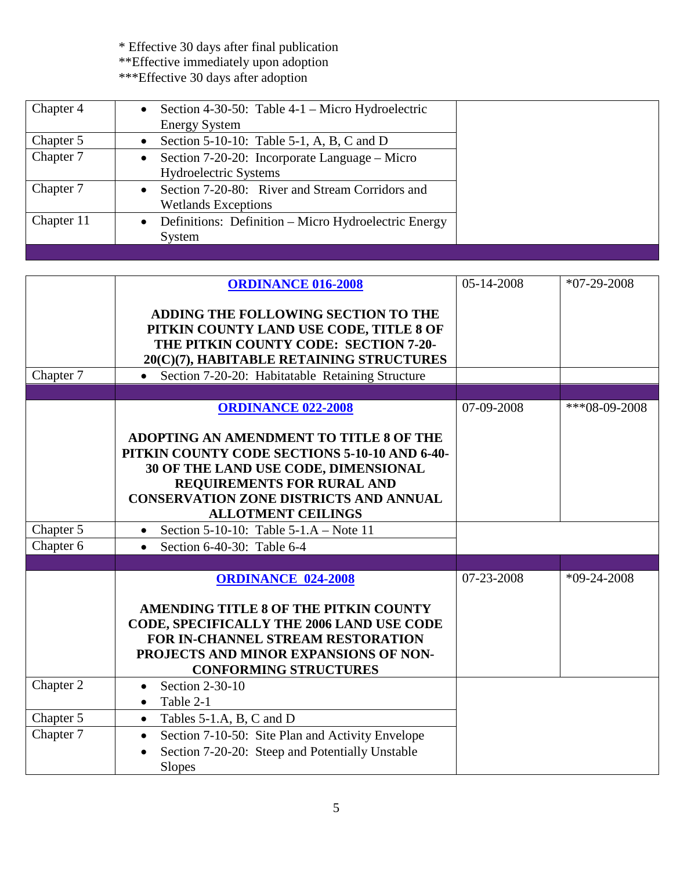| Chapter 4  | Section 4-30-50: Table $4-1$ – Micro Hydroelectric<br><b>Energy System</b>    |
|------------|-------------------------------------------------------------------------------|
| Chapter 5  | Section 5-10-10: Table 5-1, A, B, C and D                                     |
| Chapter 7  | Section 7-20-20: Incorporate Language – Micro<br><b>Hydroelectric Systems</b> |
| Chapter 7  | Section 7-20-80: River and Stream Corridors and<br><b>Wetlands Exceptions</b> |
| Chapter 11 | Definitions: Definition – Micro Hydroelectric Energy<br>System                |

|           | <b>ORDINANCE 016-2008</b>                                                                                                                                                                                                                           | 05-14-2008 | $*07-29-2008$   |
|-----------|-----------------------------------------------------------------------------------------------------------------------------------------------------------------------------------------------------------------------------------------------------|------------|-----------------|
|           | ADDING THE FOLLOWING SECTION TO THE<br>PITKIN COUNTY LAND USE CODE, TITLE 8 OF<br>THE PITKIN COUNTY CODE: SECTION 7-20-<br>20(C)(7), HABITABLE RETAINING STRUCTURES                                                                                 |            |                 |
| Chapter 7 | Section 7-20-20: Habitatable Retaining Structure<br>$\bullet$                                                                                                                                                                                       |            |                 |
|           |                                                                                                                                                                                                                                                     |            |                 |
|           | <b>ORDINANCE 022-2008</b>                                                                                                                                                                                                                           | 07-09-2008 | $***08-09-2008$ |
|           | ADOPTING AN AMENDMENT TO TITLE 8 OF THE<br>PITKIN COUNTY CODE SECTIONS 5-10-10 AND 6-40-<br>30 OF THE LAND USE CODE, DIMENSIONAL<br><b>REQUIREMENTS FOR RURAL AND</b><br><b>CONSERVATION ZONE DISTRICTS AND ANNUAL</b><br><b>ALLOTMENT CEILINGS</b> |            |                 |
| Chapter 5 | Section 5-10-10: Table 5-1.A – Note 11<br>$\bullet$                                                                                                                                                                                                 |            |                 |
| Chapter 6 | Section 6-40-30: Table 6-4<br>$\bullet$                                                                                                                                                                                                             |            |                 |
|           |                                                                                                                                                                                                                                                     |            |                 |
|           | <b>ORDINANCE 024-2008</b><br>AMENDING TITLE 8 OF THE PITKIN COUNTY<br>CODE, SPECIFICALLY THE 2006 LAND USE CODE<br>FOR IN-CHANNEL STREAM RESTORATION<br>PROJECTS AND MINOR EXPANSIONS OF NON-<br><b>CONFORMING STRUCTURES</b>                       | 07-23-2008 | $*09-24-2008$   |
| Chapter 2 | Section 2-30-10<br>$\bullet$<br>Table 2-1<br>$\bullet$                                                                                                                                                                                              |            |                 |
| Chapter 5 | Tables 5-1.A, B, C and D<br>$\bullet$                                                                                                                                                                                                               |            |                 |
| Chapter 7 | Section 7-10-50: Site Plan and Activity Envelope<br>$\bullet$<br>Section 7-20-20: Steep and Potentially Unstable<br><b>Slopes</b>                                                                                                                   |            |                 |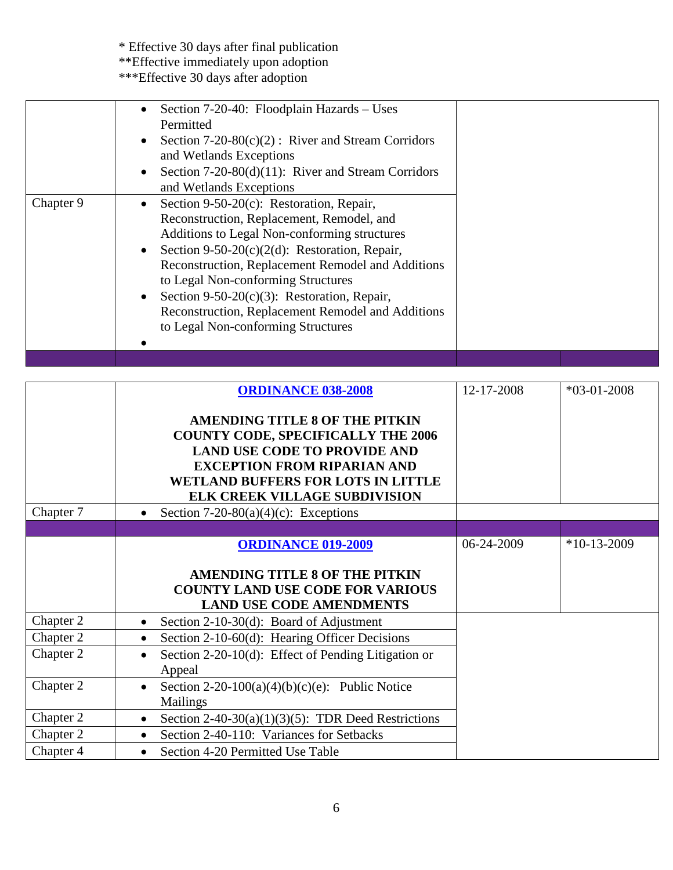\* Effective 30 days after final publication \*\*Effective immediately upon adoption

|           | Section 7-20-40: Floodplain Hazards - Uses<br>Permitted<br>Section $7-20-80(c)(2)$ : River and Stream Corridors<br>and Wetlands Exceptions<br>Section $7-20-80(d)(11)$ : River and Stream Corridors<br>and Wetlands Exceptions                                                                                                                                                                                                  |  |
|-----------|---------------------------------------------------------------------------------------------------------------------------------------------------------------------------------------------------------------------------------------------------------------------------------------------------------------------------------------------------------------------------------------------------------------------------------|--|
| Chapter 9 | Section 9-50-20(c): Restoration, Repair,<br>Reconstruction, Replacement, Remodel, and<br>Additions to Legal Non-conforming structures<br>Section 9-50-20(c)(2(d): Restoration, Repair,<br>Reconstruction, Replacement Remodel and Additions<br>to Legal Non-conforming Structures<br>Section 9-50-20 $(c)(3)$ : Restoration, Repair,<br>Reconstruction, Replacement Remodel and Additions<br>to Legal Non-conforming Structures |  |
|           |                                                                                                                                                                                                                                                                                                                                                                                                                                 |  |

|           | <b>ORDINANCE 038-2008</b>                                        | 12-17-2008 | $*03-01-2008$ |
|-----------|------------------------------------------------------------------|------------|---------------|
|           |                                                                  |            |               |
|           | <b>AMENDING TITLE 8 OF THE PITKIN</b>                            |            |               |
|           | <b>COUNTY CODE, SPECIFICALLY THE 2006</b>                        |            |               |
|           | <b>LAND USE CODE TO PROVIDE AND</b>                              |            |               |
|           | <b>EXCEPTION FROM RIPARIAN AND</b>                               |            |               |
|           | <b>WETLAND BUFFERS FOR LOTS IN LITTLE</b>                        |            |               |
|           | <b>ELK CREEK VILLAGE SUBDIVISION</b>                             |            |               |
| Chapter 7 | Section 7-20-80(a)(4)(c): Exceptions                             |            |               |
|           |                                                                  |            |               |
|           | <b>ORDINANCE 019-2009</b>                                        | 06-24-2009 | $*10-13-2009$ |
|           |                                                                  |            |               |
|           | <b>AMENDING TITLE 8 OF THE PITKIN</b>                            |            |               |
|           | <b>COUNTY LAND USE CODE FOR VARIOUS</b>                          |            |               |
|           | <b>LAND USE CODE AMENDMENTS</b>                                  |            |               |
| Chapter 2 | Section 2-10-30(d): Board of Adjustment<br>$\bullet$             |            |               |
| Chapter 2 | Section 2-10-60(d): Hearing Officer Decisions<br>$\bullet$       |            |               |
| Chapter 2 | Section 2-20-10(d): Effect of Pending Litigation or<br>$\bullet$ |            |               |
|           | Appeal                                                           |            |               |
| Chapter 2 | Section 2-20-100(a)(4)(b)(c)(e): Public Notice<br>$\bullet$      |            |               |
|           | <b>Mailings</b>                                                  |            |               |
| Chapter 2 | Section 2-40-30(a)(1)(3)(5): TDR Deed Restrictions<br>$\bullet$  |            |               |
| Chapter 2 | Section 2-40-110: Variances for Setbacks<br>$\bullet$            |            |               |
| Chapter 4 | Section 4-20 Permitted Use Table<br>$\bullet$                    |            |               |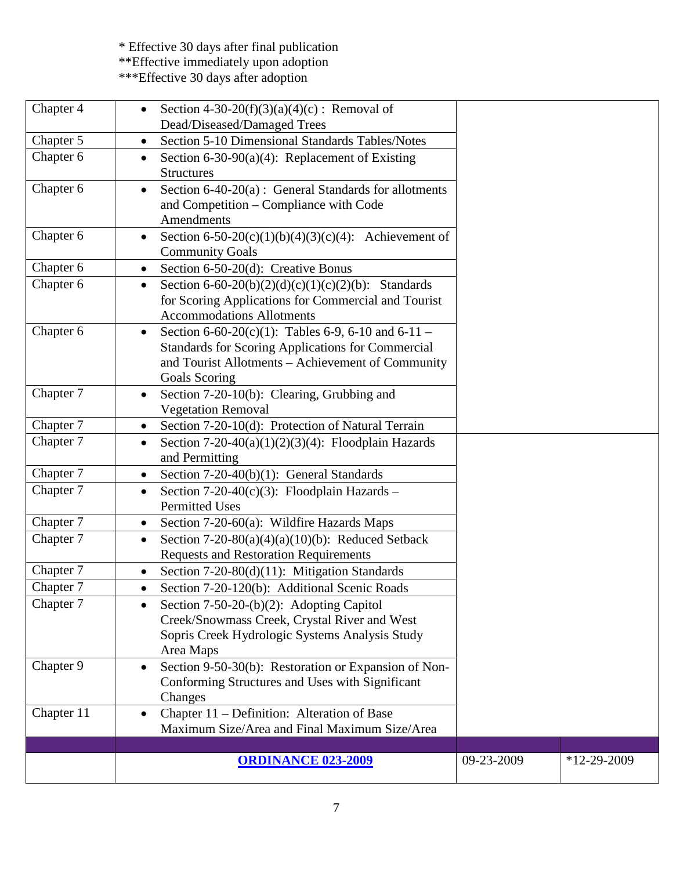\* Effective 30 days after final publication \*\*Effective immediately upon adoption

| Chapter 4  | Section 4-30-20(f)(3)(a)(4)(c) : Removal of<br>Dead/Diseased/Damaged Trees                                                                                                           |            |               |
|------------|--------------------------------------------------------------------------------------------------------------------------------------------------------------------------------------|------------|---------------|
| Chapter 5  | Section 5-10 Dimensional Standards Tables/Notes<br>$\bullet$                                                                                                                         |            |               |
| Chapter 6  | Section 6-30-90(a)(4): Replacement of Existing<br>$\bullet$<br><b>Structures</b>                                                                                                     |            |               |
| Chapter 6  | Section $6-40-20(a)$ : General Standards for allotments<br>$\bullet$<br>and Competition – Compliance with Code<br>Amendments                                                         |            |               |
| Chapter 6  | Section 6-50-20(c)(1)(b)(4)(3)(c)(4): Achievement of<br>$\bullet$<br><b>Community Goals</b>                                                                                          |            |               |
| Chapter 6  | Section 6-50-20(d): Creative Bonus<br>$\bullet$                                                                                                                                      |            |               |
| Chapter 6  | Section 6-60-20(b)(2)(d)(c)(1)(c)(2)(b): Standards<br>$\bullet$<br>for Scoring Applications for Commercial and Tourist<br><b>Accommodations Allotments</b>                           |            |               |
| Chapter 6  | Section 6-60-20(c)(1): Tables 6-9, 6-10 and 6-11 –<br><b>Standards for Scoring Applications for Commercial</b><br>and Tourist Allotments - Achievement of Community<br>Goals Scoring |            |               |
| Chapter 7  | Section 7-20-10(b): Clearing, Grubbing and<br>$\bullet$<br><b>Vegetation Removal</b>                                                                                                 |            |               |
| Chapter 7  | Section 7-20-10(d): Protection of Natural Terrain<br>$\bullet$                                                                                                                       |            |               |
| Chapter 7  | Section 7-20-40(a)(1)(2)(3)(4): Floodplain Hazards<br>$\bullet$<br>and Permitting                                                                                                    |            |               |
| Chapter 7  | Section $7-20-40(b)(1)$ : General Standards<br>$\bullet$                                                                                                                             |            |               |
| Chapter 7  | Section 7-20-40(c)(3): Floodplain Hazards –<br><b>Permitted Uses</b>                                                                                                                 |            |               |
| Chapter 7  | Section $7-20-60(a)$ : Wildfire Hazards Maps<br>$\bullet$                                                                                                                            |            |               |
| Chapter 7  | Section 7-20-80(a)(4)(a)(10)(b): Reduced Setback<br>٠<br><b>Requests and Restoration Requirements</b>                                                                                |            |               |
| Chapter 7  | Section $7-20-80(d)(11)$ : Mitigation Standards<br>$\bullet$                                                                                                                         |            |               |
| Chapter 7  | Section 7-20-120(b): Additional Scenic Roads<br>$\bullet$                                                                                                                            |            |               |
| Chapter 7  | Section $7-50-20-(b)(2)$ : Adopting Capitol<br>Creek/Snowmass Creek, Crystal River and West<br>Sopris Creek Hydrologic Systems Analysis Study<br>Area Maps                           |            |               |
| Chapter 9  | Section 9-50-30(b): Restoration or Expansion of Non-<br>$\bullet$<br>Conforming Structures and Uses with Significant<br>Changes                                                      |            |               |
| Chapter 11 | Chapter 11 - Definition: Alteration of Base<br>Maximum Size/Area and Final Maximum Size/Area                                                                                         |            |               |
|            |                                                                                                                                                                                      |            |               |
|            | <b>ORDINANCE 023-2009</b>                                                                                                                                                            | 09-23-2009 | $*12-29-2009$ |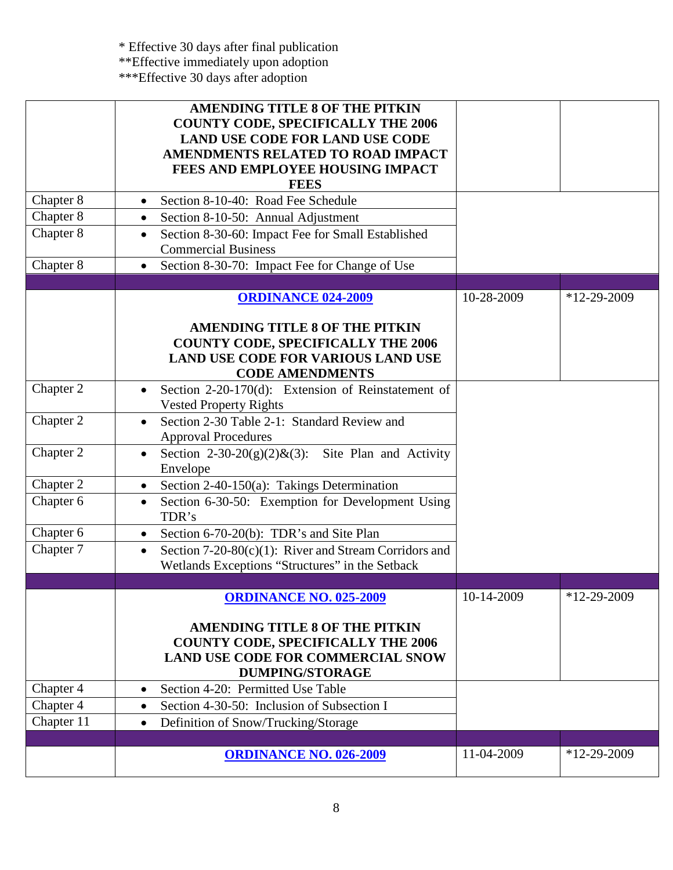|            | <b>AMENDING TITLE 8 OF THE PITKIN</b>                                                  |            |               |
|------------|----------------------------------------------------------------------------------------|------------|---------------|
|            | <b>COUNTY CODE, SPECIFICALLY THE 2006</b>                                              |            |               |
|            | <b>LAND USE CODE FOR LAND USE CODE</b>                                                 |            |               |
|            | <b>AMENDMENTS RELATED TO ROAD IMPACT</b>                                               |            |               |
|            | FEES AND EMPLOYEE HOUSING IMPACT                                                       |            |               |
|            | <b>FEES</b>                                                                            |            |               |
| Chapter 8  | Section 8-10-40: Road Fee Schedule<br>$\bullet$                                        |            |               |
| Chapter 8  | Section 8-10-50: Annual Adjustment<br>$\bullet$                                        |            |               |
| Chapter 8  | Section 8-30-60: Impact Fee for Small Established<br>$\bullet$                         |            |               |
|            | <b>Commercial Business</b>                                                             |            |               |
| Chapter 8  | Section 8-30-70: Impact Fee for Change of Use<br>$\bullet$                             |            |               |
|            |                                                                                        |            |               |
|            | <b>ORDINANCE 024-2009</b>                                                              | 10-28-2009 | $*12-29-2009$ |
|            |                                                                                        |            |               |
|            | <b>AMENDING TITLE 8 OF THE PITKIN</b>                                                  |            |               |
|            | <b>COUNTY CODE, SPECIFICALLY THE 2006</b><br><b>LAND USE CODE FOR VARIOUS LAND USE</b> |            |               |
|            | <b>CODE AMENDMENTS</b>                                                                 |            |               |
| Chapter 2  | Section 2-20-170(d): Extension of Reinstatement of                                     |            |               |
|            | <b>Vested Property Rights</b>                                                          |            |               |
| Chapter 2  | Section 2-30 Table 2-1: Standard Review and<br>$\bullet$                               |            |               |
|            | <b>Approval Procedures</b>                                                             |            |               |
| Chapter 2  | Section 2-30-20(g)(2)&(3): Site Plan and Activity<br>$\bullet$                         |            |               |
|            | Envelope                                                                               |            |               |
| Chapter 2  | Section 2-40-150(a): Takings Determination<br>$\bullet$                                |            |               |
| Chapter 6  | Section 6-30-50: Exemption for Development Using<br>$\bullet$                          |            |               |
|            | TDR's                                                                                  |            |               |
| Chapter 6  | Section 6-70-20(b): TDR's and Site Plan<br>$\bullet$                                   |            |               |
| Chapter 7  | Section $7-20-80(c)(1)$ : River and Stream Corridors and<br>$\bullet$                  |            |               |
|            | Wetlands Exceptions "Structures" in the Setback                                        |            |               |
|            |                                                                                        |            |               |
|            | <b>ORDINANCE NO. 025-2009</b>                                                          | 10-14-2009 | $*12-29-2009$ |
|            | <b>AMENDING TITLE 8 OF THE PITKIN</b>                                                  |            |               |
|            | <b>COUNTY CODE, SPECIFICALLY THE 2006</b>                                              |            |               |
|            | <b>LAND USE CODE FOR COMMERCIAL SNOW</b>                                               |            |               |
|            | <b>DUMPING/STORAGE</b>                                                                 |            |               |
| Chapter 4  | Section 4-20: Permitted Use Table<br>$\bullet$                                         |            |               |
| Chapter 4  | Section 4-30-50: Inclusion of Subsection I<br>$\bullet$                                |            |               |
| Chapter 11 | Definition of Snow/Trucking/Storage<br>$\bullet$                                       |            |               |
|            |                                                                                        |            |               |
|            | <b>ORDINANCE NO. 026-2009</b>                                                          | 11-04-2009 | $*12-29-2009$ |
|            |                                                                                        |            |               |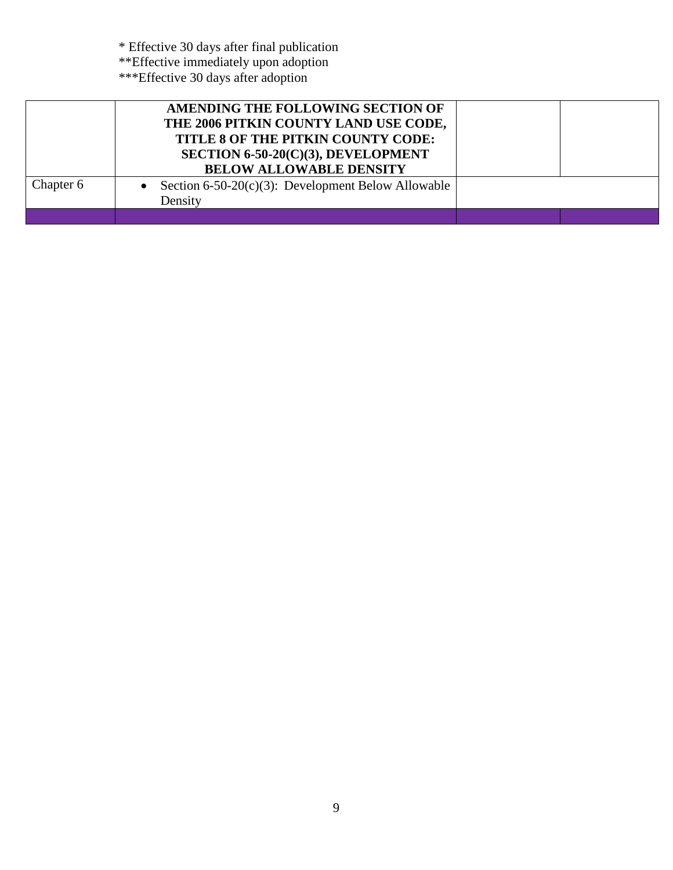|           | AMENDING THE FOLLOWING SECTION OF<br>THE 2006 PITKIN COUNTY LAND USE CODE,<br>TITLE 8 OF THE PITKIN COUNTY CODE:<br>SECTION 6-50-20(C)(3), DEVELOPMENT<br><b>BELOW ALLOWABLE DENSITY</b> |  |
|-----------|------------------------------------------------------------------------------------------------------------------------------------------------------------------------------------------|--|
| Chapter 6 | Section 6-50-20 $(c)(3)$ : Development Below Allowable<br>Density                                                                                                                        |  |
|           |                                                                                                                                                                                          |  |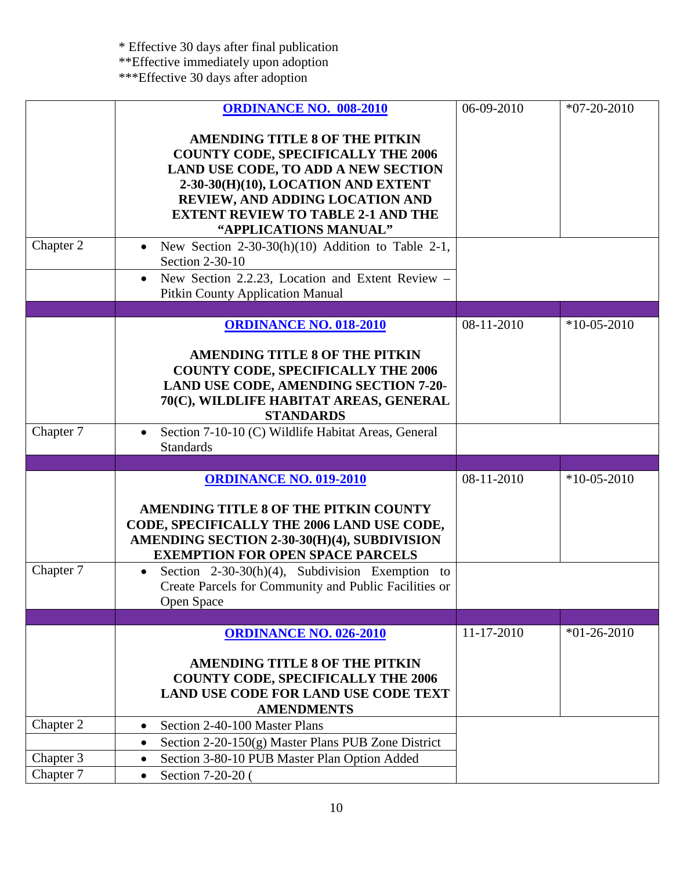|           | <b>ORDINANCE NO. 008-2010</b>                                     | 06-09-2010   | $*07-20-2010$ |
|-----------|-------------------------------------------------------------------|--------------|---------------|
|           |                                                                   |              |               |
|           | <b>AMENDING TITLE 8 OF THE PITKIN</b>                             |              |               |
|           | <b>COUNTY CODE, SPECIFICALLY THE 2006</b>                         |              |               |
|           | <b>LAND USE CODE, TO ADD A NEW SECTION</b>                        |              |               |
|           | 2-30-30(H)(10), LOCATION AND EXTENT                               |              |               |
|           | REVIEW, AND ADDING LOCATION AND                                   |              |               |
|           | <b>EXTENT REVIEW TO TABLE 2-1 AND THE</b>                         |              |               |
|           | "APPLICATIONS MANUAL"                                             |              |               |
| Chapter 2 | New Section $2-30-30(h)(10)$ Addition to Table 2-1,<br>$\bullet$  |              |               |
|           | Section 2-30-10                                                   |              |               |
|           | New Section 2.2.23, Location and Extent Review -<br>$\bullet$     |              |               |
|           | <b>Pitkin County Application Manual</b>                           |              |               |
|           |                                                                   |              |               |
|           | <b>ORDINANCE NO. 018-2010</b>                                     | $08-11-2010$ | $*10-05-2010$ |
|           |                                                                   |              |               |
|           | <b>AMENDING TITLE 8 OF THE PITKIN</b>                             |              |               |
|           | <b>COUNTY CODE, SPECIFICALLY THE 2006</b>                         |              |               |
|           | <b>LAND USE CODE, AMENDING SECTION 7-20-</b>                      |              |               |
|           | 70(C), WILDLIFE HABITAT AREAS, GENERAL                            |              |               |
|           | <b>STANDARDS</b>                                                  |              |               |
| Chapter 7 | Section 7-10-10 (C) Wildlife Habitat Areas, General               |              |               |
|           | <b>Standards</b>                                                  |              |               |
|           |                                                                   |              |               |
|           | <b>ORDINANCE NO. 019-2010</b>                                     | 08-11-2010   | $*10-05-2010$ |
|           |                                                                   |              |               |
|           | AMENDING TITLE 8 OF THE PITKIN COUNTY                             |              |               |
|           | CODE, SPECIFICALLY THE 2006 LAND USE CODE,                        |              |               |
|           | AMENDING SECTION 2-30-30(H)(4), SUBDIVISION                       |              |               |
|           | <b>EXEMPTION FOR OPEN SPACE PARCELS</b>                           |              |               |
| Chapter 7 | Section $2-30-30(h)(4)$ , Subdivision Exemption to<br>$\bullet$   |              |               |
|           | Create Parcels for Community and Public Facilities or             |              |               |
|           | Open Space                                                        |              |               |
|           |                                                                   |              |               |
|           | <b>ORDINANCE NO. 026-2010</b>                                     | 11-17-2010   | $*01-26-2010$ |
|           |                                                                   |              |               |
|           | <b>AMENDING TITLE 8 OF THE PITKIN</b>                             |              |               |
|           | <b>COUNTY CODE, SPECIFICALLY THE 2006</b>                         |              |               |
|           | LAND USE CODE FOR LAND USE CODE TEXT                              |              |               |
|           | <b>AMENDMENTS</b>                                                 |              |               |
| Chapter 2 | Section 2-40-100 Master Plans<br>$\bullet$                        |              |               |
|           | Section $2-20-150(g)$ Master Plans PUB Zone District<br>$\bullet$ |              |               |
| Chapter 3 | Section 3-80-10 PUB Master Plan Option Added                      |              |               |
| Chapter 7 | Section 7-20-20 (<br>$\bullet$                                    |              |               |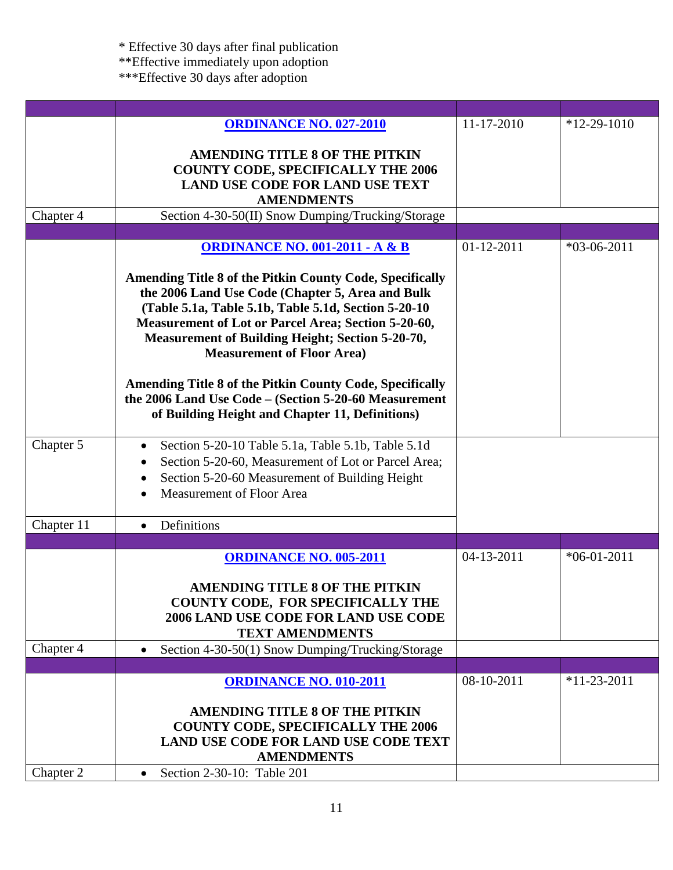|            | <b>ORDINANCE NO. 027-2010</b>                                                                                            | 11-17-2010       | $*12-29-1010$ |
|------------|--------------------------------------------------------------------------------------------------------------------------|------------------|---------------|
|            |                                                                                                                          |                  |               |
|            | <b>AMENDING TITLE 8 OF THE PITKIN</b>                                                                                    |                  |               |
|            | <b>COUNTY CODE, SPECIFICALLY THE 2006</b>                                                                                |                  |               |
|            | <b>LAND USE CODE FOR LAND USE TEXT</b>                                                                                   |                  |               |
|            | <b>AMENDMENTS</b>                                                                                                        |                  |               |
| Chapter 4  | Section 4-30-50(II) Snow Dumping/Trucking/Storage                                                                        |                  |               |
|            | <b>ORDINANCE NO. 001-2011 - A &amp; B</b>                                                                                | $01 - 12 - 2011$ | $*03-06-2011$ |
|            |                                                                                                                          |                  |               |
|            | <b>Amending Title 8 of the Pitkin County Code, Specifically</b>                                                          |                  |               |
|            | the 2006 Land Use Code (Chapter 5, Area and Bulk                                                                         |                  |               |
|            | (Table 5.1a, Table 5.1b, Table 5.1d, Section 5-20-10)                                                                    |                  |               |
|            | Measurement of Lot or Parcel Area; Section 5-20-60,                                                                      |                  |               |
|            | <b>Measurement of Building Height; Section 5-20-70,</b>                                                                  |                  |               |
|            | <b>Measurement of Floor Area)</b>                                                                                        |                  |               |
|            |                                                                                                                          |                  |               |
|            | <b>Amending Title 8 of the Pitkin County Code, Specifically</b><br>the 2006 Land Use Code - (Section 5-20-60 Measurement |                  |               |
|            | of Building Height and Chapter 11, Definitions)                                                                          |                  |               |
|            |                                                                                                                          |                  |               |
| Chapter 5  | Section 5-20-10 Table 5.1a, Table 5.1b, Table 5.1d<br>٠                                                                  |                  |               |
|            | Section 5-20-60, Measurement of Lot or Parcel Area;<br>$\bullet$                                                         |                  |               |
|            | Section 5-20-60 Measurement of Building Height                                                                           |                  |               |
|            | Measurement of Floor Area                                                                                                |                  |               |
|            |                                                                                                                          |                  |               |
| Chapter 11 | Definitions                                                                                                              |                  |               |
|            |                                                                                                                          |                  |               |
|            | <b>ORDINANCE NO. 005-2011</b>                                                                                            | 04-13-2011       | $*06-01-2011$ |
|            | <b>AMENDING TITLE 8 OF THE PITKIN</b>                                                                                    |                  |               |
|            | COUNTY CODE, FOR SPECIFICALLY THE                                                                                        |                  |               |
|            | <b>2006 LAND USE CODE FOR LAND USE CODE</b>                                                                              |                  |               |
|            | <b>TEXT AMENDMENTS</b>                                                                                                   |                  |               |
| Chapter 4  | Section 4-30-50(1) Snow Dumping/Trucking/Storage                                                                         |                  |               |
|            |                                                                                                                          |                  |               |
|            | <b>ORDINANCE NO. 010-2011</b>                                                                                            | 08-10-2011       | $*11-23-2011$ |
|            |                                                                                                                          |                  |               |
|            | <b>AMENDING TITLE 8 OF THE PITKIN</b>                                                                                    |                  |               |
|            | <b>COUNTY CODE, SPECIFICALLY THE 2006</b>                                                                                |                  |               |
|            | <b>LAND USE CODE FOR LAND USE CODE TEXT</b>                                                                              |                  |               |
|            | <b>AMENDMENTS</b>                                                                                                        |                  |               |
| Chapter 2  | Section 2-30-10: Table 201<br>$\bullet$                                                                                  |                  |               |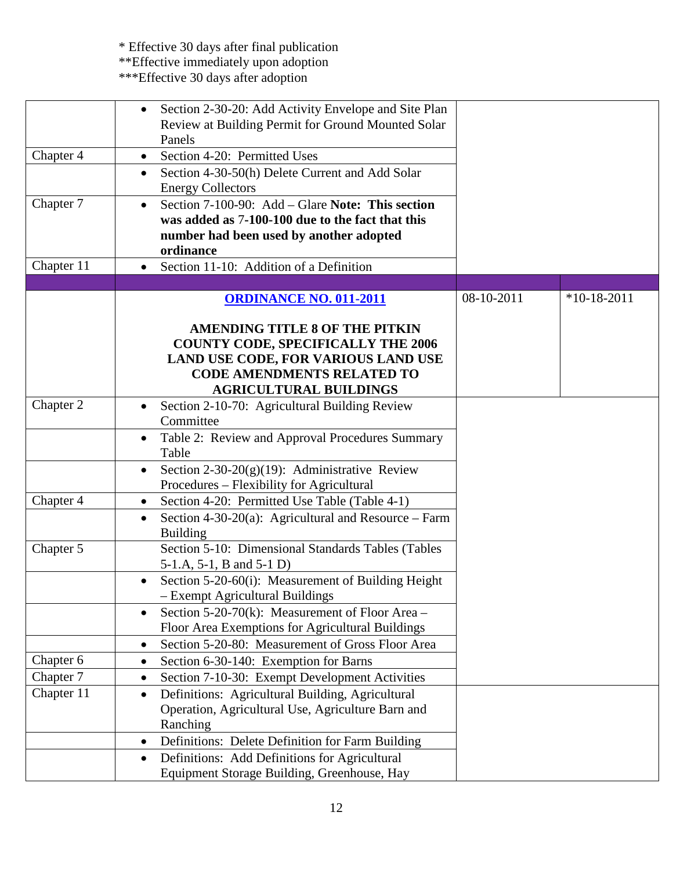|            | Section 2-30-20: Add Activity Envelope and Site Plan<br>$\bullet$<br>Review at Building Permit for Ground Mounted Solar<br>Panels                                                               |            |               |
|------------|-------------------------------------------------------------------------------------------------------------------------------------------------------------------------------------------------|------------|---------------|
| Chapter 4  | Section 4-20: Permitted Uses<br>$\bullet$                                                                                                                                                       |            |               |
|            | Section 4-30-50(h) Delete Current and Add Solar<br>$\bullet$<br><b>Energy Collectors</b>                                                                                                        |            |               |
| Chapter 7  | Section 7-100-90: Add – Glare Note: This section<br>$\bullet$<br>was added as 7-100-100 due to the fact that this<br>number had been used by another adopted<br>ordinance                       |            |               |
| Chapter 11 | Section 11-10: Addition of a Definition<br>$\bullet$                                                                                                                                            |            |               |
|            |                                                                                                                                                                                                 |            |               |
|            | <b>ORDINANCE NO. 011-2011</b>                                                                                                                                                                   | 08-10-2011 | $*10-18-2011$ |
|            | <b>AMENDING TITLE 8 OF THE PITKIN</b><br><b>COUNTY CODE, SPECIFICALLY THE 2006</b><br>LAND USE CODE, FOR VARIOUS LAND USE<br><b>CODE AMENDMENTS RELATED TO</b><br><b>AGRICULTURAL BUILDINGS</b> |            |               |
| Chapter 2  | Section 2-10-70: Agricultural Building Review<br>$\bullet$                                                                                                                                      |            |               |
|            | Committee                                                                                                                                                                                       |            |               |
|            | Table 2: Review and Approval Procedures Summary<br>Table                                                                                                                                        |            |               |
|            | Section $2-30-20(g)(19)$ : Administrative Review<br>$\bullet$<br>Procedures – Flexibility for Agricultural                                                                                      |            |               |
| Chapter 4  | Section 4-20: Permitted Use Table (Table 4-1)<br>$\bullet$                                                                                                                                      |            |               |
|            | Section 4-30-20(a): Agricultural and Resource – Farm<br>$\bullet$<br><b>Building</b>                                                                                                            |            |               |
| Chapter 5  | Section 5-10: Dimensional Standards Tables (Tables<br>5-1.A, 5-1, B and 5-1 D)                                                                                                                  |            |               |
|            | Section 5-20-60(i): Measurement of Building Height<br>- Exempt Agricultural Buildings                                                                                                           |            |               |
|            | Section 5-20-70(k): Measurement of Floor Area $-$<br>٠                                                                                                                                          |            |               |
|            | Floor Area Exemptions for Agricultural Buildings                                                                                                                                                |            |               |
|            | Section 5-20-80: Measurement of Gross Floor Area<br>$\bullet$                                                                                                                                   |            |               |
| Chapter 6  | Section 6-30-140: Exemption for Barns<br>٠                                                                                                                                                      |            |               |
| Chapter 7  | Section 7-10-30: Exempt Development Activities<br>$\bullet$                                                                                                                                     |            |               |
| Chapter 11 | Definitions: Agricultural Building, Agricultural<br>٠<br>Operation, Agricultural Use, Agriculture Barn and<br>Ranching                                                                          |            |               |
|            | Definitions: Delete Definition for Farm Building<br>$\bullet$                                                                                                                                   |            |               |
|            | Definitions: Add Definitions for Agricultural<br>$\bullet$                                                                                                                                      |            |               |
|            | Equipment Storage Building, Greenhouse, Hay                                                                                                                                                     |            |               |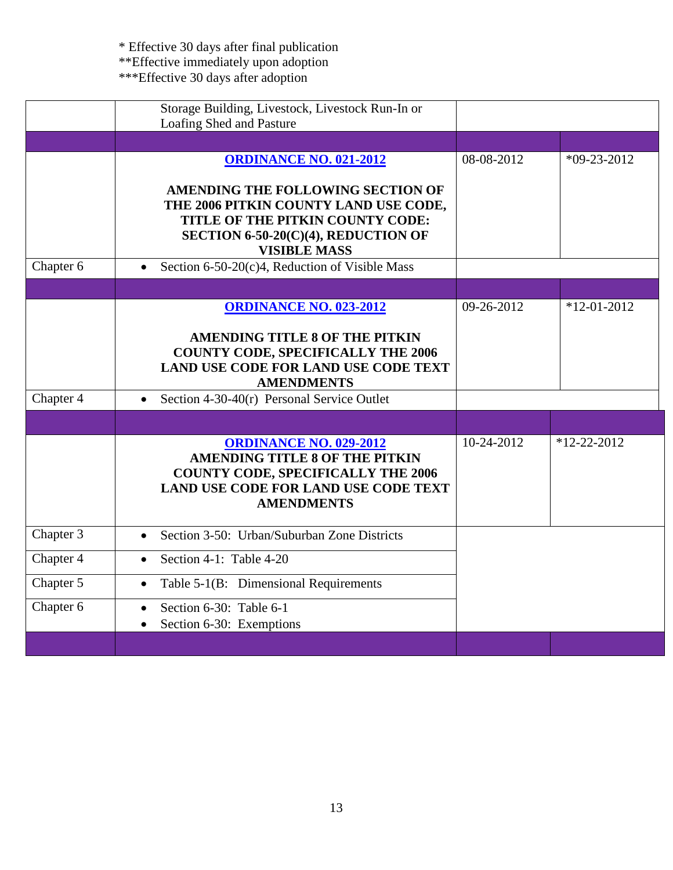|           | Storage Building, Livestock, Livestock Run-In or<br>Loafing Shed and Pasture                                                                                                            |            |                   |
|-----------|-----------------------------------------------------------------------------------------------------------------------------------------------------------------------------------------|------------|-------------------|
|           |                                                                                                                                                                                         |            |                   |
|           | <b>ORDINANCE NO. 021-2012</b>                                                                                                                                                           | 08-08-2012 | $*09-23-2012$     |
|           | AMENDING THE FOLLOWING SECTION OF<br>THE 2006 PITKIN COUNTY LAND USE CODE,<br>TITLE OF THE PITKIN COUNTY CODE:<br>SECTION 6-50-20(C)(4), REDUCTION OF<br><b>VISIBLE MASS</b>            |            |                   |
| Chapter 6 | Section 6-50-20(c)4, Reduction of Visible Mass<br>$\bullet$                                                                                                                             |            |                   |
|           |                                                                                                                                                                                         |            |                   |
|           | <b>ORDINANCE NO. 023-2012</b>                                                                                                                                                           | 09-26-2012 | $*12-01-2012$     |
|           | <b>AMENDING TITLE 8 OF THE PITKIN</b><br><b>COUNTY CODE, SPECIFICALLY THE 2006</b><br><b>LAND USE CODE FOR LAND USE CODE TEXT</b><br><b>AMENDMENTS</b>                                  |            |                   |
| Chapter 4 | Section 4-30-40(r) Personal Service Outlet<br>$\bullet$                                                                                                                                 |            |                   |
|           |                                                                                                                                                                                         |            |                   |
|           | <b>ORDINANCE NO. 029-2012</b><br><b>AMENDING TITLE 8 OF THE PITKIN</b><br><b>COUNTY CODE, SPECIFICALLY THE 2006</b><br><b>LAND USE CODE FOR LAND USE CODE TEXT</b><br><b>AMENDMENTS</b> | 10-24-2012 | $*12 - 22 - 2012$ |
| Chapter 3 | Section 3-50: Urban/Suburban Zone Districts<br>$\bullet$                                                                                                                                |            |                   |
| Chapter 4 | Section 4-1: Table 4-20<br>$\bullet$                                                                                                                                                    |            |                   |
| Chapter 5 | Table 5-1(B: Dimensional Requirements<br>$\bullet$                                                                                                                                      |            |                   |
| Chapter 6 | Section 6-30: Table 6-1<br>$\bullet$<br>Section 6-30: Exemptions                                                                                                                        |            |                   |
|           |                                                                                                                                                                                         |            |                   |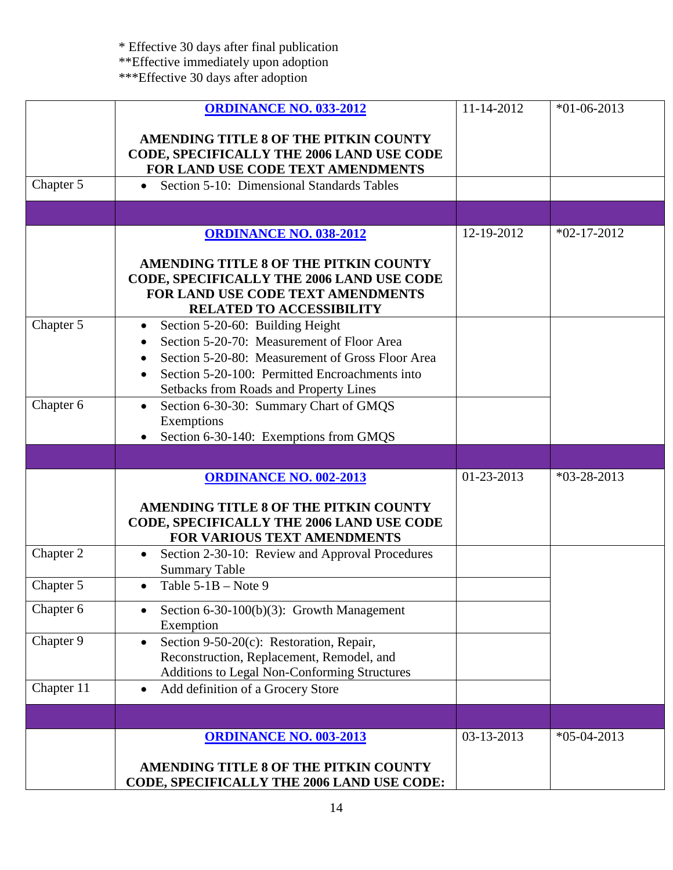|            | <b>ORDINANCE NO. 033-2012</b>                                                                                                                                                                                                               | 11-14-2012 | $*01-06-2013$ |
|------------|---------------------------------------------------------------------------------------------------------------------------------------------------------------------------------------------------------------------------------------------|------------|---------------|
|            | AMENDING TITLE 8 OF THE PITKIN COUNTY<br>CODE, SPECIFICALLY THE 2006 LAND USE CODE<br>FOR LAND USE CODE TEXT AMENDMENTS                                                                                                                     |            |               |
| Chapter 5  | Section 5-10: Dimensional Standards Tables<br>$\bullet$                                                                                                                                                                                     |            |               |
|            |                                                                                                                                                                                                                                             |            |               |
|            | <b>ORDINANCE NO. 038-2012</b>                                                                                                                                                                                                               | 12-19-2012 | $*02-17-2012$ |
|            | AMENDING TITLE 8 OF THE PITKIN COUNTY<br>CODE, SPECIFICALLY THE 2006 LAND USE CODE<br>FOR LAND USE CODE TEXT AMENDMENTS<br><b>RELATED TO ACCESSIBILITY</b>                                                                                  |            |               |
| Chapter 5  | Section 5-20-60: Building Height<br>$\bullet$<br>Section 5-20-70: Measurement of Floor Area<br>Section 5-20-80: Measurement of Gross Floor Area<br>Section 5-20-100: Permitted Encroachments into<br>Setbacks from Roads and Property Lines |            |               |
| Chapter 6  | Section 6-30-30: Summary Chart of GMQS<br>$\bullet$<br>Exemptions<br>Section 6-30-140: Exemptions from GMQS                                                                                                                                 |            |               |
|            |                                                                                                                                                                                                                                             |            |               |
|            | <b>ORDINANCE NO. 002-2013</b>                                                                                                                                                                                                               | 01-23-2013 | $*03-28-2013$ |
|            | AMENDING TITLE 8 OF THE PITKIN COUNTY<br>CODE, SPECIFICALLY THE 2006 LAND USE CODE<br><b>FOR VARIOUS TEXT AMENDMENTS</b>                                                                                                                    |            |               |
| Chapter 2  | Section 2-30-10: Review and Approval Procedures<br>$\bullet$<br><b>Summary Table</b>                                                                                                                                                        |            |               |
| Chapter 5  | Table $5-1B$ – Note 9<br>$\bullet$                                                                                                                                                                                                          |            |               |
| Chapter 6  | Section 6-30-100(b)(3): Growth Management<br>Exemption                                                                                                                                                                                      |            |               |
| Chapter 9  | Section 9-50-20(c): Restoration, Repair,<br>$\bullet$<br>Reconstruction, Replacement, Remodel, and<br>Additions to Legal Non-Conforming Structures                                                                                          |            |               |
| Chapter 11 | Add definition of a Grocery Store<br>$\bullet$                                                                                                                                                                                              |            |               |
|            |                                                                                                                                                                                                                                             |            |               |
|            | <b>ORDINANCE NO. 003-2013</b><br>AMENDING TITLE 8 OF THE PITKIN COUNTY<br>CODE, SPECIFICALLY THE 2006 LAND USE CODE:                                                                                                                        | 03-13-2013 | $*05-04-2013$ |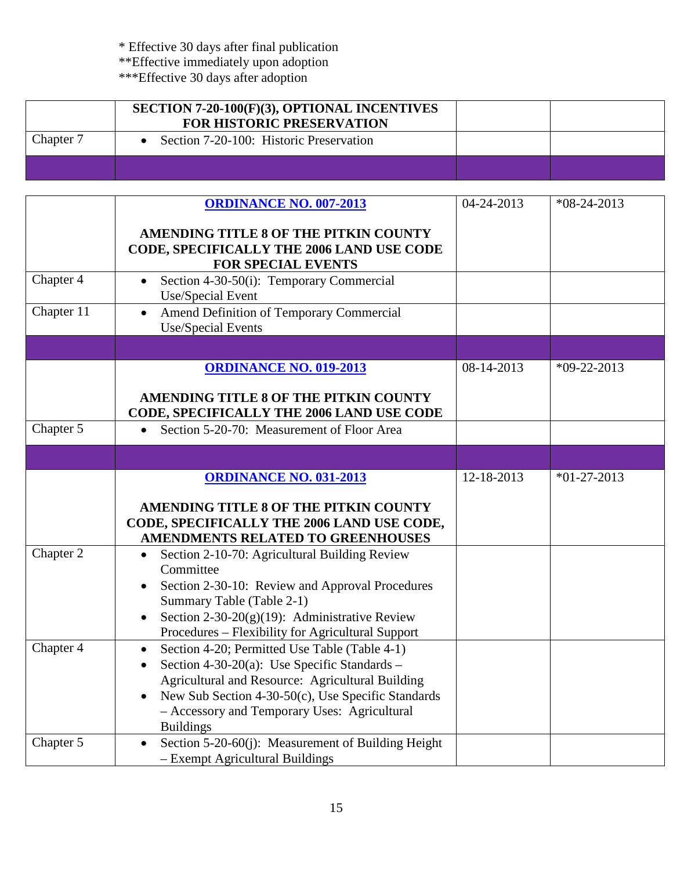|           | <b>SECTION 7-20-100(F)(3), OPTIONAL INCENTIVES</b><br><b>FOR HISTORIC PRESERVATION</b> |  |
|-----------|----------------------------------------------------------------------------------------|--|
| Chapter 7 | • Section 7-20-100: Historic Preservation                                              |  |
|           |                                                                                        |  |

|                        | <b>ORDINANCE NO. 007-2013</b>                                                                                                                                                                                                                                                                                        | 04-24-2013 | $*08-24-2013$ |
|------------------------|----------------------------------------------------------------------------------------------------------------------------------------------------------------------------------------------------------------------------------------------------------------------------------------------------------------------|------------|---------------|
|                        | <b>AMENDING TITLE 8 OF THE PITKIN COUNTY</b><br>CODE, SPECIFICALLY THE 2006 LAND USE CODE<br><b>FOR SPECIAL EVENTS</b>                                                                                                                                                                                               |            |               |
| Chapter 4              | Section 4-30-50(i): Temporary Commercial<br>Use/Special Event                                                                                                                                                                                                                                                        |            |               |
| Chapter 11             | Amend Definition of Temporary Commercial<br>$\bullet$<br>Use/Special Events                                                                                                                                                                                                                                          |            |               |
|                        |                                                                                                                                                                                                                                                                                                                      |            |               |
|                        | <b>ORDINANCE NO. 019-2013</b>                                                                                                                                                                                                                                                                                        | 08-14-2013 | $*09-22-2013$ |
|                        | <b>AMENDING TITLE 8 OF THE PITKIN COUNTY</b><br>CODE, SPECIFICALLY THE 2006 LAND USE CODE                                                                                                                                                                                                                            |            |               |
| Chapter 5              | Section 5-20-70: Measurement of Floor Area<br>$\bullet$                                                                                                                                                                                                                                                              |            |               |
|                        |                                                                                                                                                                                                                                                                                                                      |            |               |
|                        | <b>ORDINANCE NO. 031-2013</b><br>AMENDING TITLE 8 OF THE PITKIN COUNTY<br>CODE, SPECIFICALLY THE 2006 LAND USE CODE,<br>AMENDMENTS RELATED TO GREENHOUSES                                                                                                                                                            | 12-18-2013 | $*01-27-2013$ |
| Chapter 2              | Section 2-10-70: Agricultural Building Review<br>Committee<br>Section 2-30-10: Review and Approval Procedures<br>Summary Table (Table 2-1)<br>Section 2-30-20 $(g)(19)$ : Administrative Review<br>Procedures - Flexibility for Agricultural Support                                                                 |            |               |
| Chapter $\overline{4}$ | Section 4-20; Permitted Use Table (Table 4-1)<br>$\bullet$<br>Section 4-30-20(a): Use Specific Standards $-$<br>$\bullet$<br>Agricultural and Resource: Agricultural Building<br>New Sub Section 4-30-50(c), Use Specific Standards<br>$\bullet$<br>- Accessory and Temporary Uses: Agricultural<br><b>Buildings</b> |            |               |
| Chapter 5              | Section 5-20-60(j): Measurement of Building Height<br>- Exempt Agricultural Buildings                                                                                                                                                                                                                                |            |               |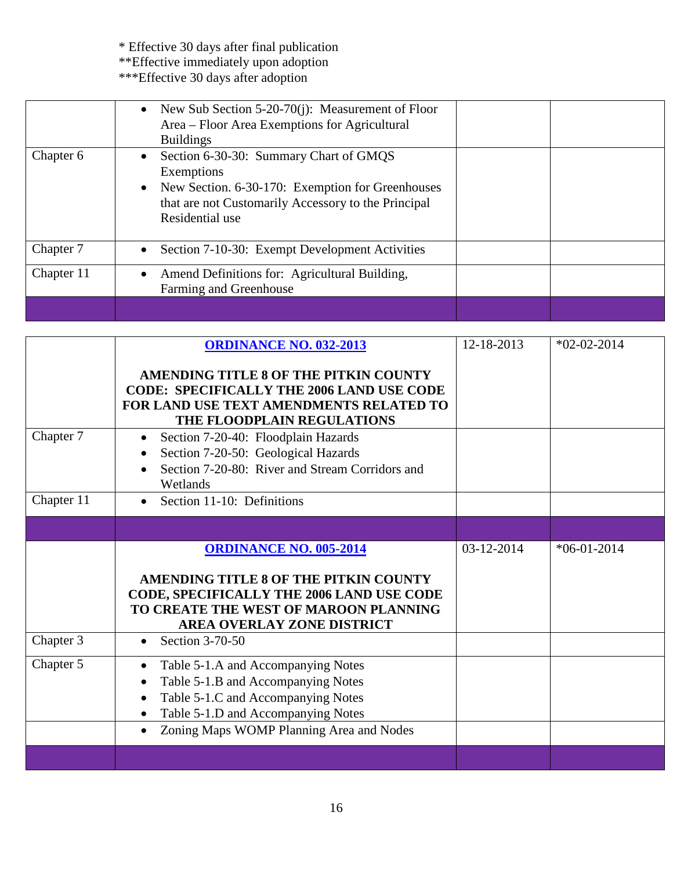|            | • New Sub Section 5-20-70(j): Measurement of Floor<br>Area – Floor Area Exemptions for Agricultural<br><b>Buildings</b>                                                                         |  |
|------------|-------------------------------------------------------------------------------------------------------------------------------------------------------------------------------------------------|--|
| Chapter 6  | Section 6-30-30: Summary Chart of GMQS<br>Exemptions<br>New Section. 6-30-170: Exemption for Greenhouses<br>$\bullet$<br>that are not Customarily Accessory to the Principal<br>Residential use |  |
| Chapter 7  | Section 7-10-30: Exempt Development Activities                                                                                                                                                  |  |
| Chapter 11 | Amend Definitions for: Agricultural Building,<br>Farming and Greenhouse                                                                                                                         |  |
|            |                                                                                                                                                                                                 |  |

|            | <b>ORDINANCE NO. 032-2013</b><br>AMENDING TITLE 8 OF THE PITKIN COUNTY<br><b>CODE: SPECIFICALLY THE 2006 LAND USE CODE</b><br>FOR LAND USE TEXT AMENDMENTS RELATED TO<br>THE FLOODPLAIN REGULATIONS                        | 12-18-2013 | $*02-02-2014$ |
|------------|----------------------------------------------------------------------------------------------------------------------------------------------------------------------------------------------------------------------------|------------|---------------|
| Chapter 7  | Section 7-20-40: Floodplain Hazards<br>$\bullet$<br>Section 7-20-50: Geological Hazards<br>Section 7-20-80: River and Stream Corridors and<br>Wetlands                                                                     |            |               |
| Chapter 11 | Section 11-10: Definitions<br>$\bullet$                                                                                                                                                                                    |            |               |
|            |                                                                                                                                                                                                                            |            |               |
|            | <b>ORDINANCE NO. 005-2014</b><br>AMENDING TITLE 8 OF THE PITKIN COUNTY<br><b>CODE, SPECIFICALLY THE 2006 LAND USE CODE</b><br>TO CREATE THE WEST OF MAROON PLANNING<br>AREA OVERLAY ZONE DISTRICT                          | 03-12-2014 | $*06-01-2014$ |
| Chapter 3  | Section 3-70-50<br>$\bullet$                                                                                                                                                                                               |            |               |
| Chapter 5  | Table 5-1.A and Accompanying Notes<br>$\bullet$<br>Table 5-1.B and Accompanying Notes<br>Table 5-1.C and Accompanying Notes<br>Table 5-1.D and Accompanying Notes<br>Zoning Maps WOMP Planning Area and Nodes<br>$\bullet$ |            |               |
|            |                                                                                                                                                                                                                            |            |               |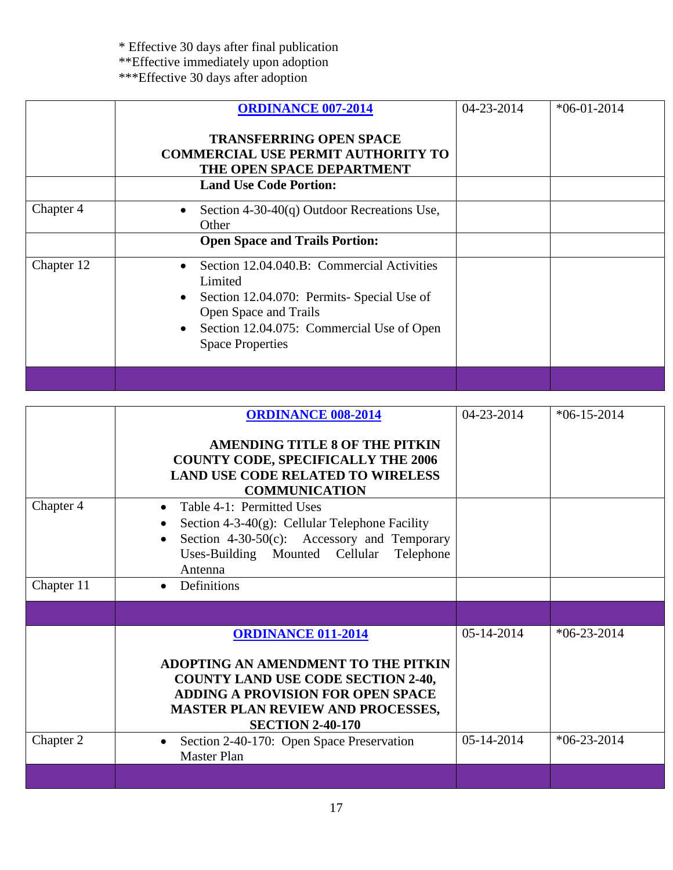\* Effective 30 days after final publication \*\*Effective immediately upon adoption

|            | <b>ORDINANCE 007-2014</b><br><b>TRANSFERRING OPEN SPACE</b><br><b>COMMERCIAL USE PERMIT AUTHORITY TO</b><br>THE OPEN SPACE DEPARTMENT<br><b>Land Use Code Portion:</b>                                         | 04-23-2014 | $*06-01-2014$ |
|------------|----------------------------------------------------------------------------------------------------------------------------------------------------------------------------------------------------------------|------------|---------------|
| Chapter 4  | Section 4-30-40 $(q)$ Outdoor Recreations Use,<br>$\bullet$<br>Other<br><b>Open Space and Trails Portion:</b>                                                                                                  |            |               |
| Chapter 12 | Section 12.04.040.B: Commercial Activities<br>Limited<br>Section 12.04.070: Permits- Special Use of<br>٠<br>Open Space and Trails<br>Section 12.04.075: Commercial Use of Open<br>٠<br><b>Space Properties</b> |            |               |
|            |                                                                                                                                                                                                                |            |               |

|            | <b>ORDINANCE 008-2014</b><br><b>AMENDING TITLE 8 OF THE PITKIN</b><br><b>COUNTY CODE, SPECIFICALLY THE 2006</b><br><b>LAND USE CODE RELATED TO WIRELESS</b><br><b>COMMUNICATION</b>                                              | $04 - 23 - 2014$ | $*06-15-2014$ |
|------------|----------------------------------------------------------------------------------------------------------------------------------------------------------------------------------------------------------------------------------|------------------|---------------|
| Chapter 4  | Table 4-1: Permitted Uses<br>Section 4-3-40 $(g)$ : Cellular Telephone Facility<br>Section 4-30-50(c): Accessory and Temporary<br>Uses-Building Mounted Cellular Telephone<br>Antenna                                            |                  |               |
| Chapter 11 | Definitions                                                                                                                                                                                                                      |                  |               |
|            |                                                                                                                                                                                                                                  |                  |               |
|            | <b>ORDINANCE 011-2014</b><br>ADOPTING AN AMENDMENT TO THE PITKIN<br><b>COUNTY LAND USE CODE SECTION 2-40,</b><br><b>ADDING A PROVISION FOR OPEN SPACE</b><br><b>MASTER PLAN REVIEW AND PROCESSES,</b><br><b>SECTION 2-40-170</b> | $05 - 14 - 2014$ | $*06-23-2014$ |
| Chapter 2  | Section 2-40-170: Open Space Preservation<br><b>Master Plan</b>                                                                                                                                                                  | 05-14-2014       | $*06-23-2014$ |
|            |                                                                                                                                                                                                                                  |                  |               |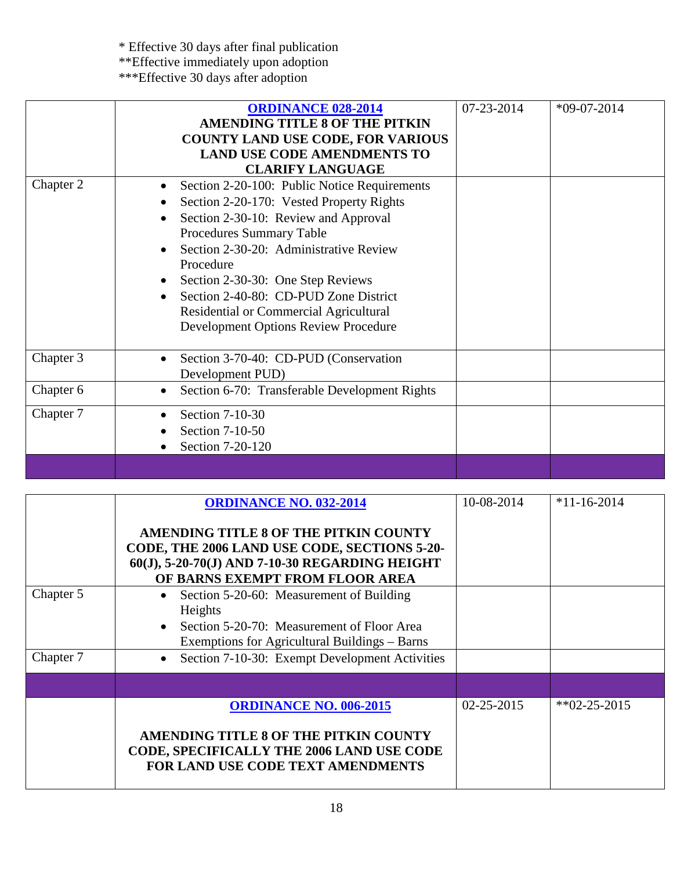| Chapter 2 | <b>ORDINANCE 028-2014</b><br><b>AMENDING TITLE 8 OF THE PITKIN</b><br><b>COUNTY LAND USE CODE, FOR VARIOUS</b><br><b>LAND USE CODE AMENDMENTS TO</b><br><b>CLARIFY LANGUAGE</b><br>Section 2-20-100: Public Notice Requirements<br>Section 2-20-170: Vested Property Rights<br>Section 2-30-10: Review and Approval<br>Procedures Summary Table<br>Section 2-30-20: Administrative Review<br>Procedure<br>Section 2-30-30: One Step Reviews<br>Section 2-40-80: CD-PUD Zone District<br>Residential or Commercial Agricultural<br><b>Development Options Review Procedure</b> | 07-23-2014 | $*09-07-2014$ |
|-----------|-------------------------------------------------------------------------------------------------------------------------------------------------------------------------------------------------------------------------------------------------------------------------------------------------------------------------------------------------------------------------------------------------------------------------------------------------------------------------------------------------------------------------------------------------------------------------------|------------|---------------|
| Chapter 3 | Section 3-70-40: CD-PUD (Conservation<br>Development PUD)                                                                                                                                                                                                                                                                                                                                                                                                                                                                                                                     |            |               |
| Chapter 6 | Section 6-70: Transferable Development Rights                                                                                                                                                                                                                                                                                                                                                                                                                                                                                                                                 |            |               |
| Chapter 7 | Section 7-10-30<br>Section 7-10-50<br>Section 7-20-120                                                                                                                                                                                                                                                                                                                                                                                                                                                                                                                        |            |               |
|           |                                                                                                                                                                                                                                                                                                                                                                                                                                                                                                                                                                               |            |               |

|           | <b>ORDINANCE NO. 032-2014</b>                                                                                                                                              | 10-08-2014       | $*11 - 16 - 2014$    |
|-----------|----------------------------------------------------------------------------------------------------------------------------------------------------------------------------|------------------|----------------------|
|           | AMENDING TITLE 8 OF THE PITKIN COUNTY<br>CODE, THE 2006 LAND USE CODE, SECTIONS 5-20-<br>60(J), 5-20-70(J) AND 7-10-30 REGARDING HEIGHT<br>OF BARNS EXEMPT FROM FLOOR AREA |                  |                      |
| Chapter 5 | Section 5-20-60: Measurement of Building<br>Heights<br>Section 5-20-70: Measurement of Floor Area<br>Exemptions for Agricultural Buildings – Barns                         |                  |                      |
| Chapter 7 | Section 7-10-30: Exempt Development Activities                                                                                                                             |                  |                      |
|           |                                                                                                                                                                            |                  |                      |
|           | <b>ORDINANCE NO. 006-2015</b><br>AMENDING TITLE 8 OF THE PITKIN COUNTY<br><b>CODE, SPECIFICALLY THE 2006 LAND USE CODE</b><br>FOR LAND USE CODE TEXT AMENDMENTS            | $02 - 25 - 2015$ | $*$ $02 - 25 - 2015$ |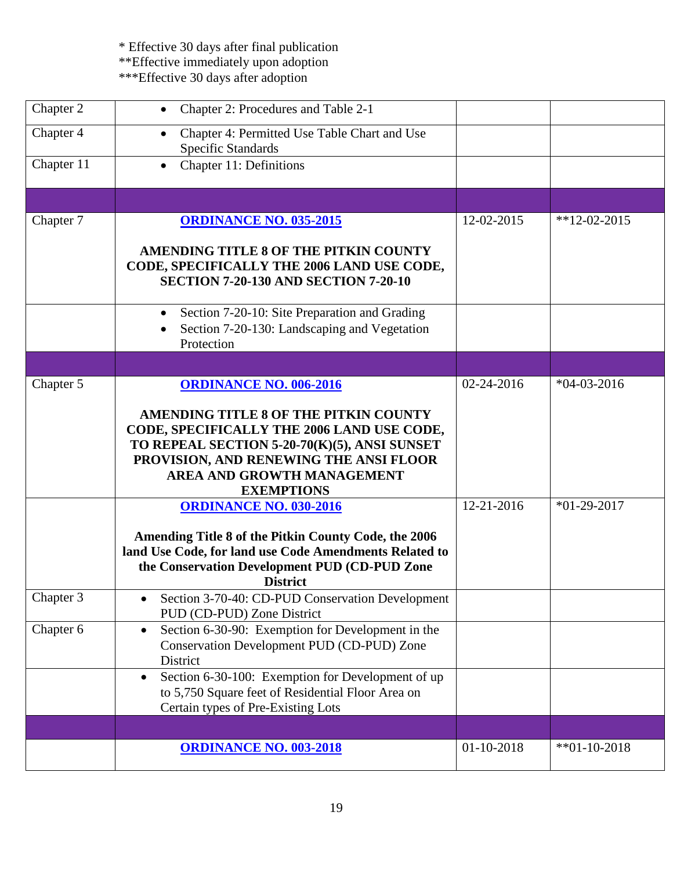| Chapter 2  | Chapter 2: Procedures and Table 2-1                                                                                                                                                                                                                                      |            |               |
|------------|--------------------------------------------------------------------------------------------------------------------------------------------------------------------------------------------------------------------------------------------------------------------------|------------|---------------|
| Chapter 4  | Chapter 4: Permitted Use Table Chart and Use<br><b>Specific Standards</b>                                                                                                                                                                                                |            |               |
| Chapter 11 | Chapter 11: Definitions<br>$\bullet$                                                                                                                                                                                                                                     |            |               |
|            |                                                                                                                                                                                                                                                                          |            |               |
| Chapter 7  | <b>ORDINANCE NO. 035-2015</b>                                                                                                                                                                                                                                            | 12-02-2015 | $*12-02-2015$ |
|            | AMENDING TITLE 8 OF THE PITKIN COUNTY<br>CODE, SPECIFICALLY THE 2006 LAND USE CODE,<br><b>SECTION 7-20-130 AND SECTION 7-20-10</b>                                                                                                                                       |            |               |
|            | Section 7-20-10: Site Preparation and Grading<br>Section 7-20-130: Landscaping and Vegetation<br>Protection                                                                                                                                                              |            |               |
|            |                                                                                                                                                                                                                                                                          |            |               |
| Chapter 5  | <b>ORDINANCE NO. 006-2016</b><br>AMENDING TITLE 8 OF THE PITKIN COUNTY<br>CODE, SPECIFICALLY THE 2006 LAND USE CODE,<br>TO REPEAL SECTION 5-20-70(K)(5), ANSI SUNSET<br>PROVISION, AND RENEWING THE ANSI FLOOR<br><b>AREA AND GROWTH MANAGEMENT</b><br><b>EXEMPTIONS</b> | 02-24-2016 | $*04-03-2016$ |
|            | <b>ORDINANCE NO. 030-2016</b><br>Amending Title 8 of the Pitkin County Code, the 2006<br>land Use Code, for land use Code Amendments Related to<br>the Conservation Development PUD (CD-PUD Zone<br><b>District</b>                                                      | 12-21-2016 | $*01-29-2017$ |
| Chapter 3  | Section 3-70-40: CD-PUD Conservation Development<br>PUD (CD-PUD) Zone District                                                                                                                                                                                           |            |               |
| Chapter 6  | Section 6-30-90: Exemption for Development in the<br>$\bullet$<br>Conservation Development PUD (CD-PUD) Zone<br>District                                                                                                                                                 |            |               |
|            | Section 6-30-100: Exemption for Development of up<br>$\bullet$<br>to 5,750 Square feet of Residential Floor Area on<br>Certain types of Pre-Existing Lots                                                                                                                |            |               |
|            |                                                                                                                                                                                                                                                                          |            |               |
|            | <b>ORDINANCE NO. 003-2018</b>                                                                                                                                                                                                                                            | 01-10-2018 | $*01-10-2018$ |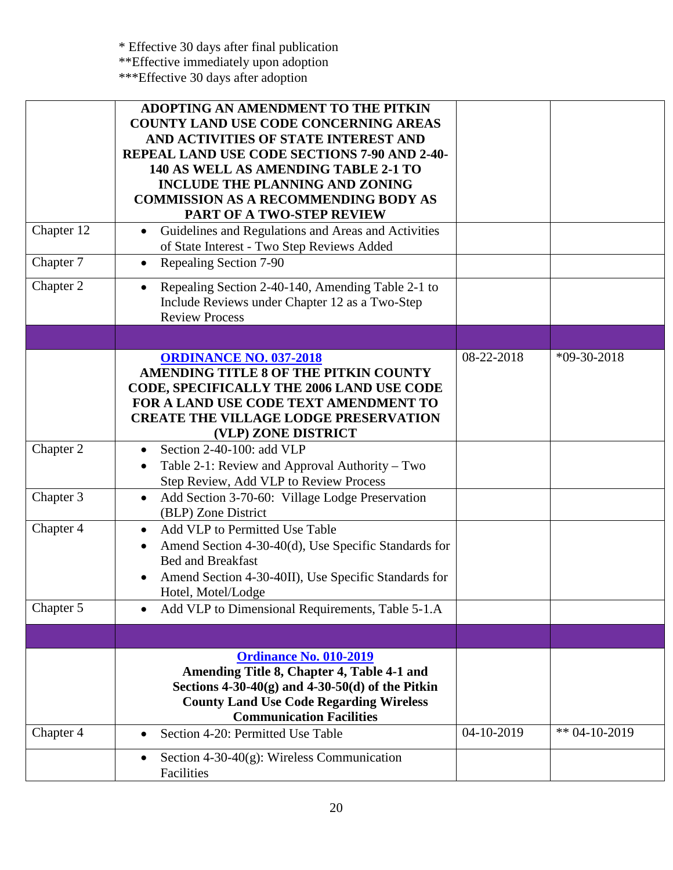| Chapter 12             | ADOPTING AN AMENDMENT TO THE PITKIN<br><b>COUNTY LAND USE CODE CONCERNING AREAS</b><br>AND ACTIVITIES OF STATE INTEREST AND<br>REPEAL LAND USE CODE SECTIONS 7-90 AND 2-40-<br>140 AS WELL AS AMENDING TABLE 2-1 TO<br><b>INCLUDE THE PLANNING AND ZONING</b><br><b>COMMISSION AS A RECOMMENDING BODY AS</b><br>PART OF A TWO-STEP REVIEW<br>Guidelines and Regulations and Areas and Activities<br>of State Interest - Two Step Reviews Added |            |                 |
|------------------------|------------------------------------------------------------------------------------------------------------------------------------------------------------------------------------------------------------------------------------------------------------------------------------------------------------------------------------------------------------------------------------------------------------------------------------------------|------------|-----------------|
| Chapter 7<br>Chapter 2 | Repealing Section 7-90<br>$\bullet$<br>Repealing Section 2-40-140, Amending Table 2-1 to<br>$\bullet$<br>Include Reviews under Chapter 12 as a Two-Step<br><b>Review Process</b>                                                                                                                                                                                                                                                               |            |                 |
|                        | <b>ORDINANCE NO. 037-2018</b><br>AMENDING TITLE 8 OF THE PITKIN COUNTY<br><b>CODE, SPECIFICALLY THE 2006 LAND USE CODE</b><br>FOR A LAND USE CODE TEXT AMENDMENT TO<br><b>CREATE THE VILLAGE LODGE PRESERVATION</b><br>(VLP) ZONE DISTRICT                                                                                                                                                                                                     | 08-22-2018 | $*09-30-2018$   |
| Chapter 2              | Section 2-40-100: add VLP<br>Table 2-1: Review and Approval Authority – Two<br>$\bullet$<br>Step Review, Add VLP to Review Process                                                                                                                                                                                                                                                                                                             |            |                 |
| Chapter 3              | Add Section 3-70-60: Village Lodge Preservation<br>$\bullet$<br>(BLP) Zone District                                                                                                                                                                                                                                                                                                                                                            |            |                 |
| Chapter 4              | Add VLP to Permitted Use Table<br>$\bullet$<br>Amend Section 4-30-40(d), Use Specific Standards for<br><b>Bed and Breakfast</b><br>Amend Section 4-30-40II), Use Specific Standards for<br>Hotel, Motel/Lodge                                                                                                                                                                                                                                  |            |                 |
| Chapter 5              | Add VLP to Dimensional Requirements, Table 5-1.A                                                                                                                                                                                                                                                                                                                                                                                               |            |                 |
|                        |                                                                                                                                                                                                                                                                                                                                                                                                                                                |            |                 |
|                        | <b>Ordinance No. 010-2019</b><br>Amending Title 8, Chapter 4, Table 4-1 and<br>Sections $4-30-40(g)$ and $4-30-50(d)$ of the Pitkin<br><b>County Land Use Code Regarding Wireless</b><br><b>Communication Facilities</b>                                                                                                                                                                                                                       |            |                 |
| Chapter 4              | Section 4-20: Permitted Use Table<br>Section 4-30-40 $(g)$ : Wireless Communication<br>$\bullet$<br>Facilities                                                                                                                                                                                                                                                                                                                                 | 04-10-2019 | ** $04-10-2019$ |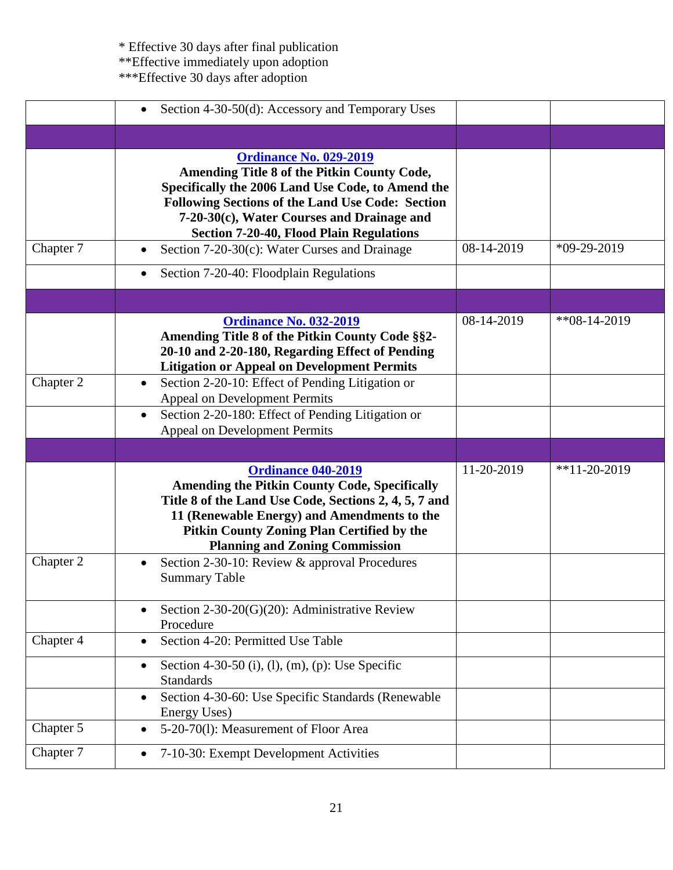|           | Section 4-30-50(d): Accessory and Temporary Uses                                                                                                                                                                                                                                              |            |                |
|-----------|-----------------------------------------------------------------------------------------------------------------------------------------------------------------------------------------------------------------------------------------------------------------------------------------------|------------|----------------|
|           |                                                                                                                                                                                                                                                                                               |            |                |
|           | <b>Ordinance No. 029-2019</b><br>Amending Title 8 of the Pitkin County Code,<br>Specifically the 2006 Land Use Code, to Amend the<br><b>Following Sections of the Land Use Code: Section</b><br>7-20-30(c), Water Courses and Drainage and<br><b>Section 7-20-40, Flood Plain Regulations</b> |            |                |
| Chapter 7 | Section 7-20-30(c): Water Curses and Drainage<br>$\bullet$                                                                                                                                                                                                                                    | 08-14-2019 | $*09-29-2019$  |
|           | Section 7-20-40: Floodplain Regulations<br>$\bullet$                                                                                                                                                                                                                                          |            |                |
|           |                                                                                                                                                                                                                                                                                               |            |                |
|           | <b>Ordinance No. 032-2019</b><br>Amending Title 8 of the Pitkin County Code §§2-<br>20-10 and 2-20-180, Regarding Effect of Pending<br><b>Litigation or Appeal on Development Permits</b>                                                                                                     | 08-14-2019 | $*808-14-2019$ |
| Chapter 2 | Section 2-20-10: Effect of Pending Litigation or<br>$\bullet$<br>Appeal on Development Permits                                                                                                                                                                                                |            |                |
|           | Section 2-20-180: Effect of Pending Litigation or<br>$\bullet$                                                                                                                                                                                                                                |            |                |
|           | Appeal on Development Permits                                                                                                                                                                                                                                                                 |            |                |
|           |                                                                                                                                                                                                                                                                                               |            |                |
|           | <b>Ordinance 040-2019</b><br><b>Amending the Pitkin County Code, Specifically</b><br>Title 8 of the Land Use Code, Sections 2, 4, 5, 7 and<br>11 (Renewable Energy) and Amendments to the<br><b>Pitkin County Zoning Plan Certified by the</b><br><b>Planning and Zoning Commission</b>       | 11-20-2019 | $*11-20-2019$  |
| Chapter 2 | Section 2-30-10: Review & approval Procedures<br>$\bullet$<br><b>Summary Table</b>                                                                                                                                                                                                            |            |                |
|           | Section 2-30-20(G)(20): Administrative Review<br>$\bullet$<br>Procedure                                                                                                                                                                                                                       |            |                |
| Chapter 4 | Section 4-20: Permitted Use Table<br>$\bullet$                                                                                                                                                                                                                                                |            |                |
|           | Section 4-30-50 (i), (l), (m), (p): Use Specific<br>٠<br><b>Standards</b>                                                                                                                                                                                                                     |            |                |
|           | Section 4-30-60: Use Specific Standards (Renewable<br>$\bullet$<br>Energy Uses)                                                                                                                                                                                                               |            |                |
| Chapter 5 | 5-20-70(1): Measurement of Floor Area<br>$\bullet$                                                                                                                                                                                                                                            |            |                |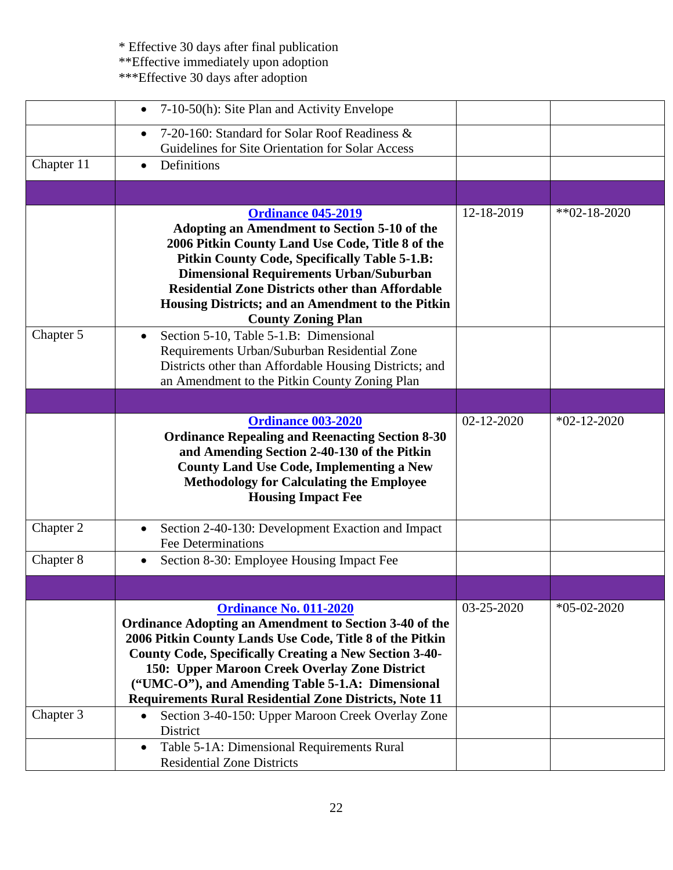|            | 7-10-50(h): Site Plan and Activity Envelope                                                                                                                                                                                                                                                                                                                                                |            |                   |
|------------|--------------------------------------------------------------------------------------------------------------------------------------------------------------------------------------------------------------------------------------------------------------------------------------------------------------------------------------------------------------------------------------------|------------|-------------------|
|            | 7-20-160: Standard for Solar Roof Readiness &<br>Guidelines for Site Orientation for Solar Access                                                                                                                                                                                                                                                                                          |            |                   |
| Chapter 11 | Definitions<br>$\bullet$                                                                                                                                                                                                                                                                                                                                                                   |            |                   |
|            |                                                                                                                                                                                                                                                                                                                                                                                            |            |                   |
|            | <b>Ordinance 045-2019</b><br><b>Adopting an Amendment to Section 5-10 of the</b><br>2006 Pitkin County Land Use Code, Title 8 of the<br>Pitkin County Code, Specifically Table 5-1.B:<br><b>Dimensional Requirements Urban/Suburban</b><br><b>Residential Zone Districts other than Affordable</b><br>Housing Districts; and an Amendment to the Pitkin<br><b>County Zoning Plan</b>       | 12-18-2019 | $*$ *02-18-2020   |
| Chapter 5  | Section 5-10, Table 5-1.B: Dimensional<br>Requirements Urban/Suburban Residential Zone<br>Districts other than Affordable Housing Districts; and<br>an Amendment to the Pitkin County Zoning Plan                                                                                                                                                                                          |            |                   |
|            |                                                                                                                                                                                                                                                                                                                                                                                            |            |                   |
|            | <b>Ordinance 003-2020</b><br><b>Ordinance Repealing and Reenacting Section 8-30</b><br>and Amending Section 2-40-130 of the Pitkin<br><b>County Land Use Code, Implementing a New</b><br><b>Methodology for Calculating the Employee</b><br><b>Housing Impact Fee</b>                                                                                                                      | 02-12-2020 | $*02 - 12 - 2020$ |
| Chapter 2  | Section 2-40-130: Development Exaction and Impact<br><b>Fee Determinations</b>                                                                                                                                                                                                                                                                                                             |            |                   |
| Chapter 8  | Section 8-30: Employee Housing Impact Fee                                                                                                                                                                                                                                                                                                                                                  |            |                   |
|            |                                                                                                                                                                                                                                                                                                                                                                                            |            |                   |
|            | <b>Ordinance No. 011-2020</b><br>Ordinance Adopting an Amendment to Section 3-40 of the<br>2006 Pitkin County Lands Use Code, Title 8 of the Pitkin<br><b>County Code, Specifically Creating a New Section 3-40-</b><br>150: Upper Maroon Creek Overlay Zone District<br>("UMC-O"), and Amending Table 5-1.A: Dimensional<br><b>Requirements Rural Residential Zone Districts, Note 11</b> | 03-25-2020 | $*05-02-2020$     |
| Chapter 3  | Section 3-40-150: Upper Maroon Creek Overlay Zone<br>District                                                                                                                                                                                                                                                                                                                              |            |                   |
|            | Table 5-1A: Dimensional Requirements Rural<br>$\bullet$<br><b>Residential Zone Districts</b>                                                                                                                                                                                                                                                                                               |            |                   |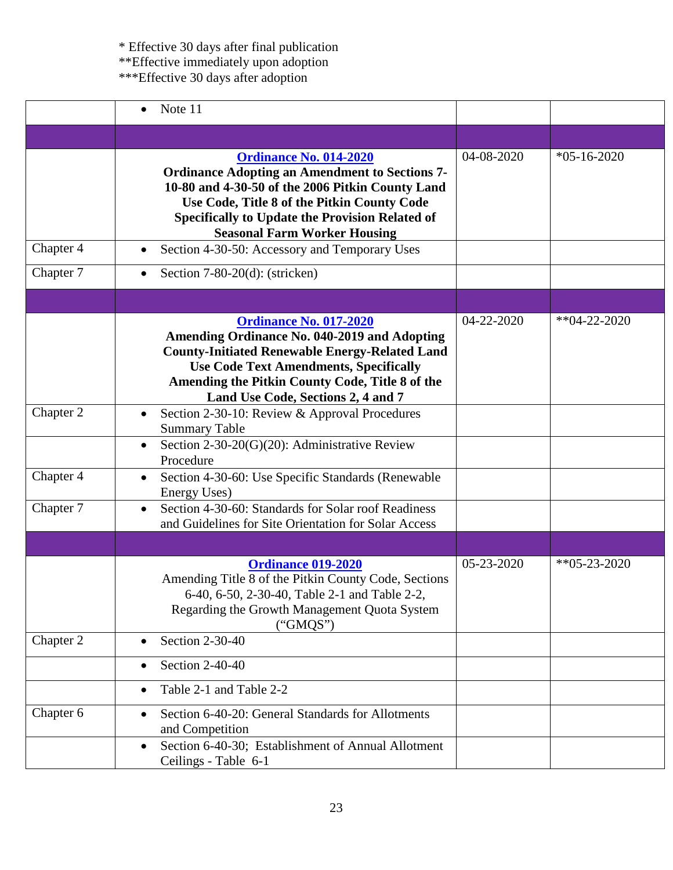|           | Note 11<br>$\bullet$                                                                                                                                                                                                                                                                       |            |                  |
|-----------|--------------------------------------------------------------------------------------------------------------------------------------------------------------------------------------------------------------------------------------------------------------------------------------------|------------|------------------|
|           |                                                                                                                                                                                                                                                                                            |            |                  |
|           | <b>Ordinance No. 014-2020</b><br><b>Ordinance Adopting an Amendment to Sections 7-</b><br>10-80 and 4-30-50 of the 2006 Pitkin County Land<br>Use Code, Title 8 of the Pitkin County Code<br><b>Specifically to Update the Provision Related of</b><br><b>Seasonal Farm Worker Housing</b> | 04-08-2020 | $*05-16-2020$    |
| Chapter 4 | Section 4-30-50: Accessory and Temporary Uses<br>$\bullet$                                                                                                                                                                                                                                 |            |                  |
| Chapter 7 | Section $7-80-20(d)$ : (stricken)<br>$\bullet$                                                                                                                                                                                                                                             |            |                  |
|           |                                                                                                                                                                                                                                                                                            |            |                  |
|           | <b>Ordinance No. 017-2020</b><br><b>Amending Ordinance No. 040-2019 and Adopting</b><br><b>County-Initiated Renewable Energy-Related Land</b><br><b>Use Code Text Amendments, Specifically</b><br>Amending the Pitkin County Code, Title 8 of the<br>Land Use Code, Sections 2, 4 and 7    | 04-22-2020 | $*$ $04-22-2020$ |
| Chapter 2 | Section 2-30-10: Review & Approval Procedures<br>$\bullet$<br><b>Summary Table</b>                                                                                                                                                                                                         |            |                  |
|           | Section 2-30-20(G)(20): Administrative Review<br>$\bullet$<br>Procedure                                                                                                                                                                                                                    |            |                  |
| Chapter 4 | Section 4-30-60: Use Specific Standards (Renewable<br>$\bullet$<br>Energy Uses)                                                                                                                                                                                                            |            |                  |
| Chapter 7 | Section 4-30-60: Standards for Solar roof Readiness<br>$\bullet$<br>and Guidelines for Site Orientation for Solar Access                                                                                                                                                                   |            |                  |
|           |                                                                                                                                                                                                                                                                                            |            |                  |
|           | <b>Ordinance 019-2020</b><br>Amending Title 8 of the Pitkin County Code, Sections<br>6-40, 6-50, 2-30-40, Table 2-1 and Table 2-2,<br>Regarding the Growth Management Quota System<br>("GMQS")                                                                                             | 05-23-2020 | $*805-23-2020$   |
| Chapter 2 | Section 2-30-40                                                                                                                                                                                                                                                                            |            |                  |
|           | Section 2-40-40<br>$\bullet$                                                                                                                                                                                                                                                               |            |                  |
|           | Table 2-1 and Table 2-2<br>$\bullet$                                                                                                                                                                                                                                                       |            |                  |
| Chapter 6 | Section 6-40-20: General Standards for Allotments<br>$\bullet$<br>and Competition                                                                                                                                                                                                          |            |                  |
|           | Section 6-40-30; Establishment of Annual Allotment<br>Ceilings - Table 6-1                                                                                                                                                                                                                 |            |                  |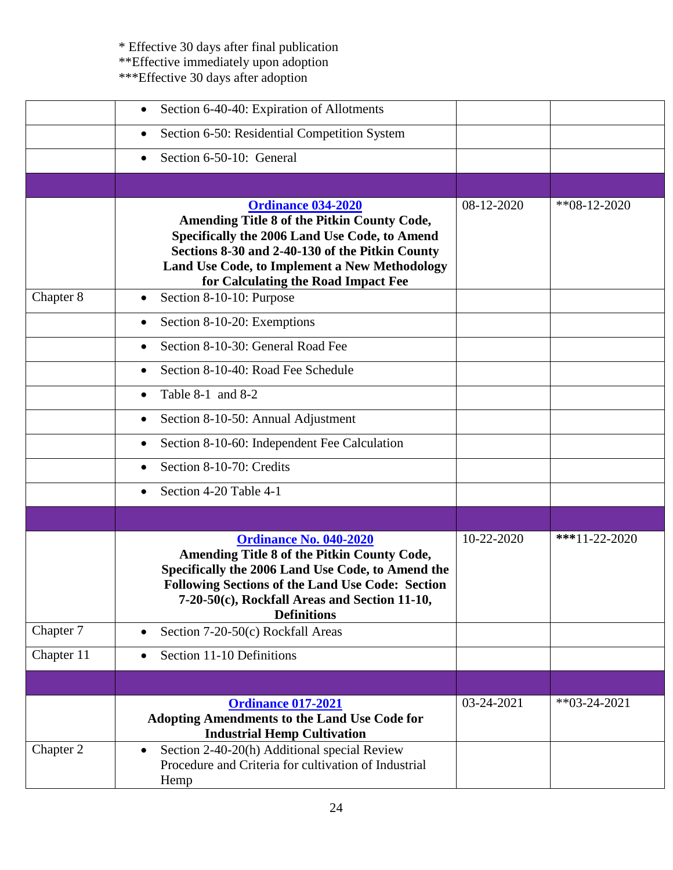|            | Section 6-40-40: Expiration of Allotments                                                                                                                                                                                                                            |            |                  |
|------------|----------------------------------------------------------------------------------------------------------------------------------------------------------------------------------------------------------------------------------------------------------------------|------------|------------------|
|            | Section 6-50: Residential Competition System<br>$\bullet$                                                                                                                                                                                                            |            |                  |
|            | Section 6-50-10: General                                                                                                                                                                                                                                             |            |                  |
|            |                                                                                                                                                                                                                                                                      |            |                  |
|            | <b>Ordinance 034-2020</b><br>Amending Title 8 of the Pitkin County Code,<br>Specifically the 2006 Land Use Code, to Amend<br>Sections 8-30 and 2-40-130 of the Pitkin County<br>Land Use Code, to Implement a New Methodology<br>for Calculating the Road Impact Fee | 08-12-2020 | $*8 - 12 - 2020$ |
| Chapter 8  | Section 8-10-10: Purpose<br>$\bullet$                                                                                                                                                                                                                                |            |                  |
|            | Section 8-10-20: Exemptions                                                                                                                                                                                                                                          |            |                  |
|            | Section 8-10-30: General Road Fee                                                                                                                                                                                                                                    |            |                  |
|            | Section 8-10-40: Road Fee Schedule<br>$\bullet$                                                                                                                                                                                                                      |            |                  |
|            | Table 8-1 and 8-2                                                                                                                                                                                                                                                    |            |                  |
|            | Section 8-10-50: Annual Adjustment                                                                                                                                                                                                                                   |            |                  |
|            | Section 8-10-60: Independent Fee Calculation<br>٠                                                                                                                                                                                                                    |            |                  |
|            | Section 8-10-70: Credits<br>$\bullet$                                                                                                                                                                                                                                |            |                  |
|            | Section 4-20 Table 4-1<br>$\bullet$                                                                                                                                                                                                                                  |            |                  |
|            |                                                                                                                                                                                                                                                                      |            |                  |
|            | <b>Ordinance No. 040-2020</b><br>Amending Title 8 of the Pitkin County Code,<br>Specifically the 2006 Land Use Code, to Amend the<br><b>Following Sections of the Land Use Code: Section</b><br>7-20-50(c), Rockfall Areas and Section 11-10,<br><b>Definitions</b>  | 10-22-2020 | $***11-22-2020$  |
| Chapter 7  | Section 7-20-50(c) Rockfall Areas<br>$\bullet$                                                                                                                                                                                                                       |            |                  |
| Chapter 11 | Section 11-10 Definitions                                                                                                                                                                                                                                            |            |                  |
|            |                                                                                                                                                                                                                                                                      |            |                  |
|            | <b>Ordinance 017-2021</b><br><b>Adopting Amendments to the Land Use Code for</b><br><b>Industrial Hemp Cultivation</b>                                                                                                                                               | 03-24-2021 | $*$ *03-24-2021  |
| Chapter 2  | Section 2-40-20(h) Additional special Review<br>Procedure and Criteria for cultivation of Industrial<br>Hemp                                                                                                                                                         |            |                  |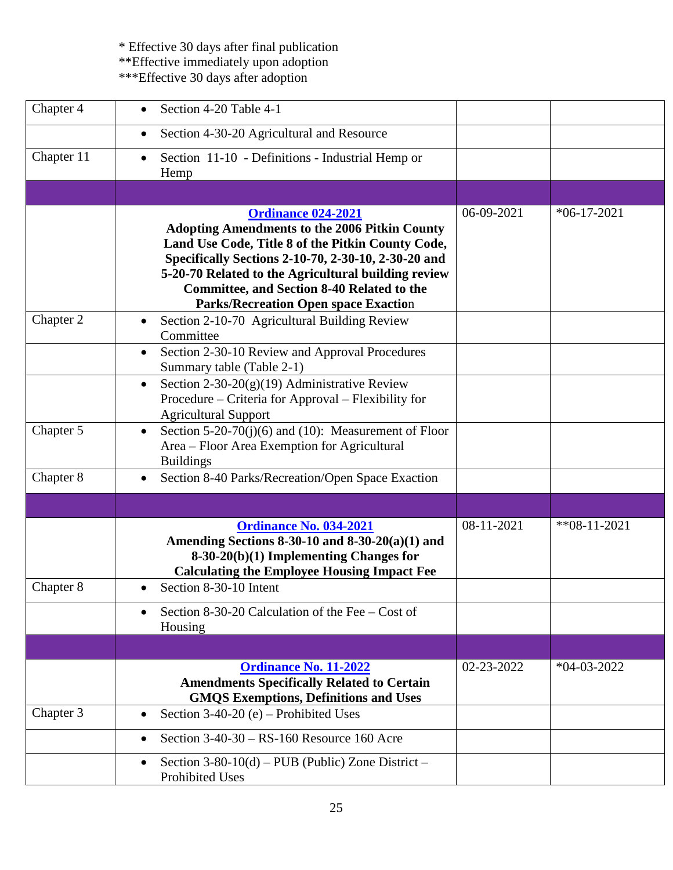| Chapter 4  | Section 4-20 Table 4-1                                                                                                                                                                                                                                                                                                                                   |            |                |
|------------|----------------------------------------------------------------------------------------------------------------------------------------------------------------------------------------------------------------------------------------------------------------------------------------------------------------------------------------------------------|------------|----------------|
|            | Section 4-30-20 Agricultural and Resource<br>$\bullet$                                                                                                                                                                                                                                                                                                   |            |                |
| Chapter 11 | Section 11-10 - Definitions - Industrial Hemp or<br>Hemp                                                                                                                                                                                                                                                                                                 |            |                |
|            |                                                                                                                                                                                                                                                                                                                                                          |            |                |
|            | <b>Ordinance 024-2021</b><br><b>Adopting Amendments to the 2006 Pitkin County</b><br>Land Use Code, Title 8 of the Pitkin County Code,<br>Specifically Sections 2-10-70, 2-30-10, 2-30-20 and<br>5-20-70 Related to the Agricultural building review<br><b>Committee, and Section 8-40 Related to the</b><br><b>Parks/Recreation Open space Exaction</b> | 06-09-2021 | $*06-17-2021$  |
| Chapter 2  | Section 2-10-70 Agricultural Building Review<br>Committee                                                                                                                                                                                                                                                                                                |            |                |
|            | Section 2-30-10 Review and Approval Procedures<br>$\bullet$<br>Summary table (Table 2-1)                                                                                                                                                                                                                                                                 |            |                |
|            | Section $2-30-20(g)(19)$ Administrative Review<br>$\bullet$<br>Procedure – Criteria for Approval – Flexibility for<br><b>Agricultural Support</b>                                                                                                                                                                                                        |            |                |
| Chapter 5  | Section 5-20-70(j)(6) and (10): Measurement of Floor<br>$\bullet$<br>Area - Floor Area Exemption for Agricultural<br><b>Buildings</b>                                                                                                                                                                                                                    |            |                |
| Chapter 8  | Section 8-40 Parks/Recreation/Open Space Exaction                                                                                                                                                                                                                                                                                                        |            |                |
|            |                                                                                                                                                                                                                                                                                                                                                          |            |                |
|            | <b>Ordinance No. 034-2021</b><br>Amending Sections 8-30-10 and 8-30-20(a)(1) and<br>$8-30-20(b)(1)$ Implementing Changes for<br><b>Calculating the Employee Housing Impact Fee</b>                                                                                                                                                                       | 08-11-2021 | $*808-11-2021$ |
| Chapter 8  | Section 8-30-10 Intent<br>$\bullet$                                                                                                                                                                                                                                                                                                                      |            |                |
|            | Section 8-30-20 Calculation of the Fee $-$ Cost of<br>Housing                                                                                                                                                                                                                                                                                            |            |                |
|            |                                                                                                                                                                                                                                                                                                                                                          |            |                |
|            | <b>Ordinance No. 11-2022</b><br><b>Amendments Specifically Related to Certain</b><br><b>GMQS Exemptions, Definitions and Uses</b>                                                                                                                                                                                                                        | 02-23-2022 | $*04-03-2022$  |
| Chapter 3  | Section 3-40-20 (e) - Prohibited Uses<br>$\bullet$                                                                                                                                                                                                                                                                                                       |            |                |
|            | Section $3-40-30$ – RS-160 Resource 160 Acre                                                                                                                                                                                                                                                                                                             |            |                |
|            | Section $3-80-10(d)$ – PUB (Public) Zone District –<br><b>Prohibited Uses</b>                                                                                                                                                                                                                                                                            |            |                |